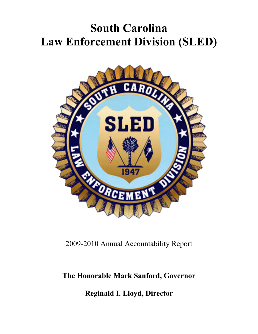# **South Carolina Law Enforcement Division (SLED)**



2009-2010 Annual Accountability Report

# **The Honorable Mark Sanford, Governor**

**Reginald I. Lloyd, Director**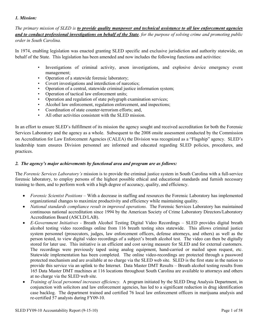#### *1. Mission:*

*The primary mission of SLED is to provide quality manpower and technical assistance to all law enforcement agencies and to conduct professional investigations on behalf of the State, for the purpose of solving crime and promoting public order in South Carolina.* 

In 1974, enabling legislation was enacted granting SLED specific and exclusive jurisdiction and authority statewide, on behalf of the State. This legislation has been amended and now includes the following functions and activities:

- Investigations of criminal activity, arson investigations, and explosive device emergency event management;
- Operation of a statewide forensic laboratory;
- Covert investigations and interdiction of narcotics;
- Operation of a central, statewide criminal justice information system;
- Operation of tactical law enforcement units;
- Operation and regulation of state polygraph examination services;
- Alcohol law enforcement, regulation enforcement, and inspections;
- Coordination of state counter-terrorism efforts; and,
- All other activities consistent with the SLED mission.

In an effort to ensure SLED's fulfillment of its mission the agency sought and received accreditation for both the Forensic Services Laboratory and the agency as a whole. Subsequent to the 2008 onsite assessment conducted by the Commission on Accreditation for Law Enforcement Agencies (CALEA) the Division was recognized as a "Flagship" agency. SLED's leadership team ensures Division personnel are informed and educated regarding SLED policies, procedures, and practices.

#### *2. The agency's major achievements by functional area and program are as follows:*

The *Forensic Services Laboratory's* mission is to provide the criminal justice system in South Carolina with a full-service forensic laboratory, to employ persons of the highest possible ethical and educational standards and furnish necessary training to them, and to perform work with a high degree of accuracy, quality, and efficiency.

- *Forensic Scientist Positions –* With a decrease in staffing and resources the Forensic Laboratory has implemented organizational changes to maximize productivity and efficiency while maintaining quality.
- *National standards compliance result in improved operations.* The Forensic Services Laboratory has maintained continuous national accreditation since 1994 by the American Society of Crime Laboratory Directors/Laboratory Accreditation Board (ASCLD/LAB).
- *E-Government Initiatives* Breath Alcohol Testing Digital Video Recordings SLED provides digital breath alcohol testing video recordings online from 116 breath testing sites statewide. This allows criminal justice system personnel (prosecutors, judges, law enforcement officers, defense attorneys, and others) as well as the person tested, to view digital video recordings of a subject's breath alcohol test. The video can then be digitally stored for later use. This initiative is an efficient and cost saving measure for SLED and for external customers. The recordings were previously taped using analog equipment, hand-carried or mailed upon request, etc. Statewide implementation has been completed. The online video-recordings are protected through a password protected mechanism and are available at no charge via the SLED web site. SLED is the first state in the nation to provide this service via an uplink to the Internet. Data Master DMT Results – Breath alcohol testing results from 165 Data Master DMT machines at 116 locations throughout South Carolina are available to attorneys and others at no charge via the SLED web site.
- *Training of local personnel increases efficiency.* A program initiated by the SLED Drug Analysis Department, in conjunction with solicitors and law enforcement agencies, has led to a significant reduction in drug identification case backlog. The department trained and certified 76 local law enforcement officers in marijuana analysis and re-certified 57 analysts during FY09-10.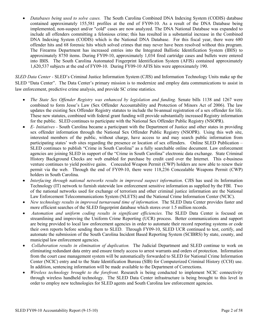• *Databases being used to solve cases.* The South Carolina Combined DNA Indexing System (CODIS) database contained approximately 155,581 profiles at the end of FY09-10. As a result of the DNA Database being implemented, non-suspect and/or "cold" cases are now analyzed. The DNA National Database was expanded to include all offenders committing a felonious crime; this has resulted in a substantial increase in the Combined DNA Indexing System (CODIS) which is the National DNA Database. For this fiscal year, there were 680 offender hits and 68 forensic hits which solved crimes that may never have been resolved without this program. The Firearms Department has increased entries into the Integrated Ballistic Identification System (IBIS) to approximately 8750 items. During FY09-10, approximately 1,034 fired cartridge cases and bullets were entered into IBIS. The South Carolina Automated Fingerprint Identification System (AFIS) contained approximately 1,620,537 subjects at the end of FY09-10. During FY09-10 AFIS hits were approximately 190.

*SLED Data Center -* SLED's Criminal Justice Information System (CJIS) and Information Technology Units make up the SLED "Data Center". The Data Center's primary mission is to modernize and employ data communications to assist in law enforcement, predictive crime analysis, and provide SC crime statistics.

- *The State Sex Offender Registry was enhanced by legislation and funding.* Senate bills 1138 and 1267 were combined to form Jesse's Law (Sex Offender Accountability and Protection of Minors Act of 2006). The law updates the existing Sex Offender Registry statutes to include the bi-annual registration of a sex offender for life. These new statutes, combined with federal grant funding will provide substantially increased Registry information for the public. SLED continues to participate with the National Sex Offender Public Registry (NSOPR).
- *E- Initiatives -* South Carolina became a participant with the Department of Justice and other states in providing sex offender information through the National Sex Offender Public Registry (NSOPR). Using this web site, interested members of the public, without charge, have access to and may search public information from participating states' web sites regarding the presence or location of sex offenders. Online SLED Publication – SLED continues to publish "Crime in South Carolina" as a fully searchable online document. Law enforcement agencies are joining SLED in support of the "Crime in South Carolina" electronic data exchange. State Criminal History Background Checks are web enabled for purchase by credit card over the Internet. This e-business venture continues to yield positive gains. Concealed Weapon Permit (CWP) holders are now able to renew their permit via the web. Through the end of FY09-10, there were 118,236 Concealable Weapons Permit (CWP) holders in South Carolina.
- *Interfacing through national networks results in improved suspect information*. CJIS has used its Information Technology (IT) network to furnish statewide law enforcement sensitive information as supplied by the FBI. Two of the national networks used for exchange of terrorism and other criminal justice information are the National Law Enforcement Telecommunications System (NLETS) and the National Crime Information Center (NCIC).
- *New technology results in improved turnaround time of information.* The SLED Data Center provides faster and more efficient searches of the SLED fingerprint database which stores over 1.5 million records.
- *Automation and uniform coding results in significant efficiencies.* The SLED Data Center is focused on streamlining and improving the Uniform Crime Reporting (UCR) process. Better communications and support are being provided to local law enforcement agencies in order to automate their record reporting systems or code their own reports before sending them to SLED. Through FY09-10, SLED UCR continued to test, certify, and automate the submission of the South Carolina Incident Based Reporting System (SCIBRS) by state, county, and municipal law enforcement agencies.
- *Collaboration results in elimination of duplication.* The Judicial Department and SLED continue to work on eliminating redundant data entry and ensure timely access to arrest warrants and orders of protection. Information from the court case management system will be automatically forwarded to SLED for National Crime Information Center (NCIC) entry and to the State Identification Bureau (SIB) for Computerized Criminal History (CCH) use. In addition, sentencing information will be made available to the Department of Corrections.
- *Wireless technology brought to the forefront.* Research is being conducted to implement NCIC connectivity through wireless handheld technology. The SLED Data Center infrastructure is being brought to this level in order to employ new technologies for SLED agents and South Carolina law enforcement agencies.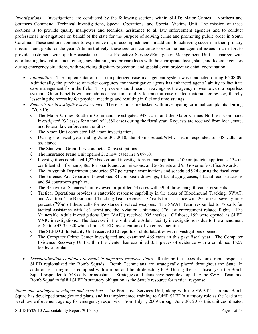*Investigations* – Investigations are conducted by the following sections within SLED: Major Crimes – Northern and Southern Command, Technical Investigations, Special Operations, and Special Victims Unit. The mission of these sections is to provide quality manpower and technical assistance to all law enforcement agencies and to conduct professional investigations on behalf of the state for the purpose of solving crime and promoting public order in South Carolina. These sections continue to experience major accomplishments in addition to achieving success in their primary missions and goals for the year. Administratively, these sections continue to examine management issues in an effort to provide customers with quality assistance. The Protective Services/Emergency Management Unit is charged with coordinating law enforcement emergency planning and preparedness with the appropriate local, state, and federal agencies during emergency situations, with providing dignitary protection, and special event protective detail coordination.

- *Automation* The implementation of a computerized case management system was conducted during FY08-09. Additionally, the purchase of tablet computers for investigative agents has enhanced agents' ability to facilitate case management from the field. This process should result in savings as the agency moves toward a paperless system. Other benefits will include near real time ability to transmit case related material for review, thereby lessening the necessity for physical meetings and resulting in fuel and time savings.
- *Requests for investigative services met.* These sections are tasked with investigating criminal complaints. During FY09-10;
	- ◊ The Major Crimes Southern Command investigated 948 cases and the Major Crimes Northern Command investigated 932 cases for a total of 1,880 cases during the fiscal year.. Requests are received from local, state, and federal law enforcement entities.
	- ◊ The Arson Unit conducted 145 arson investigations.
	- ◊ During the fiscal year ending June 30, 2010, the Bomb Squad/WMD Team responded to 548 calls for assistance.
	- ◊ The Statewide Grand Jury conducted 8 investigations.
	- ◊ The Insurance Fraud Unit opened 212 new cases in FY09-10.
	- $\Diamond$  Investigations conducted 1,220 background investigations on bar applicants,100 on judicial applicants, 134 on confidential informants, 865 for boards and commissions, and 56 Senate and 95 Governor's Office Awards.
	- ◊ The Polygraph Department conducted 577 polygraph examinations and scheduled 924 during the fiscal year.
	- ◊ The Forensic Art Department developed 84 composite drawings, 1 facial aging cases, 4 facial reconstructions and 54 courtroom graphics.
	- ◊ The Behavioral Sciences Unit reviewed or profiled 54 cases with 39 of those being threat assessments.
	- ◊ Tactical Operations provides a statewide response capability in the areas of Bloodhound Tracking, SWAT, and Aviation. The Bloodhound Tracking Team received 182 calls for assistance with 204 arrest; seventy-nine percent (79%) of these calls for assistance involved weapons. The SWAT Team responded to 77 calls for tactical assistance with 183 arrest and the Aviation Unit made 376 law enforcement related flights. The Vulnerable Adult Investigations Unit (VAIU) received 995 intakes. Of those, 199 were opened as SLED VAIU investigations. The decrease in the Vulnerable Adult Facility investigations is due to the amendment of Statute 43-35-520 which limits SLED investigations of veterans' facilities.
	- ◊ The SLED Child Fatality Unit received 210 reports of child fatalities with investigations opened.
	- ◊ The Computer Crime Center investigated and examined 465 cases in this past fiscal year. The Computer Evidence Recovery Unit within the Center has examined 351 pieces of evidence with a combined 15.57 terabytes of data.
- *Decentralization continues to result in improved response times.* Realizing the necessity for a rapid response, SLED regionalized the Bomb Squads. Bomb Technicians are strategically placed throughout the State. In addition, each region is equipped with a robot and bomb detecting K-9. During the past fiscal year the Bomb Squad responded to 548 calls for assistance. Strategies and plans have been developed by the SWAT Team and Bomb Squad to fulfill SLED's statutory obligation as the State's resource for tactical response.

*Plans and strategies developed and exercised.* The Protective Services Unit, along with the SWAT Team and Bomb Squad has developed strategies and plans, and has implemented training to fulfill SLED's statutory role as the lead state level law enforcement agency for emergency responses. From July 1, 2009 through June 30, 2010, this unit coordinated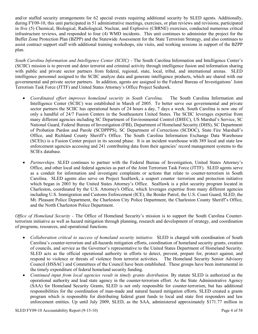and/or staffed security arrangements for 62 special events requiring additional security by SLED agents. Additionally, during FY09-10, this unit participated in 51 administrative meetings, exercises, or plan reviews and revisions, participated in five (5) Chemical, Biological, Radiological, Nuclear, and Explosive (CBRNE) exercises, conducted numerous critical infrastructure reviews, and responded to four (4) WMD incidents. This unit continues to administer the project for the Buffer Zone Protection Plan (BZPP) and the Statewide Assessment for the State Terrorism Strategy, and also continues to assist contract support staff with additional training workshops, site visits, and working sessions in support of the BZPP plan.

*South Carolina Information and Intelligence Center (SCIIC) -* The South Carolina Information and Intelligence Center's (SCIIC) mission is to prevent and deter terrorist and criminal activity through intelligence fusion and information sharing with public and private sector partners from federal, regional, state, local, tribal, and international arenas. SLED intelligence personnel assigned to the SCIIC analyze data and generate intelligence products, which are shared with our governmental and private sector partners. In addition, agents are assigned to the Federal Bureau of Investigations' Joint Terrorism Task Force (JTTF) and United States Attorney's Office Project Seahawk.

- *Coordinated effort improves homeland security in South Carolina.* The South Carolina Information and Intelligence Center (SCIIC) was established in March of 2005. To better serve our governmental and private sector partners the SCIIC has operational hours of 24 hours a day, 7 days a week. South Carolina is now one of only a handful of 24/7 Fusion Centers in the Southeastern United States. The SCIIC leverages expertise from many different agencies including SC Department of Environmental Control (DHEC), US Marshal's Service, SC National Guard, Federal Bureau of Investigation (FBI), Department of Homeland Security (DHS), SC Department of Probation Pardon and Parole (SCDPPPS), SC Department of Corrections (SCDOC), State Fire Marshall's Office, and Richland County Sheriff's Office. The South Carolina Information Exchange Data Warehouse (SCEIx) is a Fusion Center project in its second phase. It is an incident warehouse with 389 local and state law enforcement agencies accessing and 241 contributing data from their agencies' record management systems to the SCIEx database.
- *Partnerships*. SLED continues to partner with the Federal Bureau of Investigation, United States Attorney's Office, and other local and federal agencies as part of the Joint Terrorism Task Force (JTTF). SLED agents serve as a conduit for information and investigate complaints or actions that relate to counter-terrorism in South Carolina. SLED agents also serve on Project SeaHawk, a seaport counter -terrorism and protection initiative which began in 2003 by the United States Attorney's Office. SeaHawk is a pilot security program located in Charleston, coordinated by the U.S. Attorney's Office, which leverages expertise from many different agencies including U.S. Immigration and Customs Enforcement (ICE), the Border Patrol, the U.S. Coast Guard, SLED, the Mt. Pleasant Police Department, the Charleston City Police Department, the Charleston County Sheriff's Office, and the North Charleston Police Department.

*Office of Homeland Security -* The Office of Homeland Security's mission is to support the South Carolina Counterterrorism initiative as well as hazard mitigation through planning, research and development of strategy, and coordination of programs, resources, and operational functions.

- *Collaboration critical to success of homeland security initiative.* SLED is charged with coordination of South Carolina's counter-terrorism and all-hazards mitigation efforts, coordination of homeland security grants, creation of councils, and service as the Governor's representative to the United States Department of Homeland Security. SLED acts as the official operational authority in efforts to detect, prevent, prepare for, protect against, and respond to violence or threats of violence from terrorist activities. The Homeland Security Senior Advisory Council (HSSAC) and Committees of the Council have been established. These groups have been instrumental in the timely expenditure of federal homeland security funding.
- *Continued input from local agencies result in timely grants distribution.* By statute SLED is authorized as the operational authority and lead state agency in the counter-terrorism effort. As the State Administrative Agency (SAA) for Homeland Security Grants, SLED is not only responsible for counter-terrorism, but has additional responsibilities for the coordination of man-made and natural hazard mitigation efforts. SLED created a grants program which is responsible for distributing federal grant funds to local and state first responders and law enforcement entities. Up until July 2009, SLED, as the SAA, administered approximately \$171.77 million in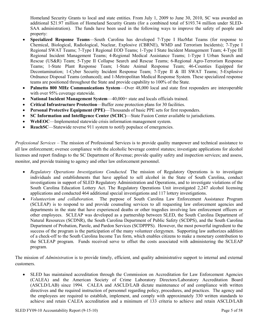Homeland Security Grants to local and state entities. From July 1, 2009 to June 30, 2010, SC was awarded an additional \$21.97 million of Homeland Security Grants (for a combined total of \$193.74 million under SLED-SAA administration). The funds have been used in the following ways to improve the safety of people and property:

- **Specialized Response Teams**—South Carolina has developed 7-Type I HazMat Teams (for response to Chemical, Biological, Radiological, Nuclear, Explosive (CBRNE), WMD and Terrorism Incidents); 7-Type I Regional SWAT Teams; 7-Type I Regional EOD Teams; 1-Type I State Incident Management Team; 4-Type III Regional Incident Management Teams; 4-Regional Medical Assistance Teams; 1-Type I Urban Search and Rescue (US&R) Team; 5-Type II Collapse Search and Rescue Teams; 6-Regional Agro-Terrorism Response Teams; 1-State Plant Response Team; 1-State Animal Response Team; 46-Counties Equipped for Decontamination; 1-Cyber Security Incident Response Team; 7-Type II & III SWAT Teams; 5-Explosive Ordnance Disposal Teams (enhanced); and 1-Metropolitan Medical Response System. These specialized response teams are positioned throughout the State and provide capability to 100% of the State.
- **Palmetto 800 MHz Communications System**—Over 48,000 local and state first responders are interoperable with over 95% coverage statewide.
- **National Incident Management System—40,000+** state and locals officials trained.
- **Critical Infrastructure Protection**—Buffer zone protection plans for 30 facilities.
- **Personal Protective Equipment (PPE)—Thousands of basic PPE sets for first responders.**
- **SC Information and Intelligence Center (SCIIC)**—State Fusion Center available to jurisdictions.
- **WebEOC**—Implemented statewide crisis information management system.
- **ReachSC—Statewide reverse 911 system to notify populace of emergencies.**

*Professional Services* – The mission of Professional Services is to provide quality manpower and technical assistance to all law enforcement; oversee compliance with the alcoholic beverage control statutes; investigate applications for alcohol licenses and report findings to the SC Department of Revenue; provide quality safety and inspection services; and assess, monitor, and provide training to agency and other law enforcement personnel.

- *Regulatory Operations Investigations Conducted.* The mission of Regulatory Operations is to investigate individuals and establishments that have applied to sell alcohol in the State of South Carolina, conduct investigations in support of SLED Regulatory Administration and Operations, and to investigate violations of the South Carolina Education Lottery Act. The Regulatory Operations Unit investigated 2,247 alcohol licensing applications and conducted 464 additional special investigations and 117 lottery investigations.
- *Volunteerism and collaboration.* The purpose of South Carolina Law Enforcement Assistance Program (SCLEAP) is to respond to and provide counseling services to all requesting law enforcement agencies and departments in the state that have experienced deaths or other tragedies involving law enforcement officers or other employees. SCLEAP was developed as a partnership between SLED, the South Carolina Department of Natural Resources (SCDNR), the South Carolina Department of Public Safety (SCDPS), and the South Carolina Department of Probation, Parole, and Pardon Services (SCDPPPS). However, the most powerful ingredient to the success of the program is the participation of the many volunteer clergymen. Supporting law authorizes addition of a check-off to the South Carolina Income Tax form, which enables citizens to make a monetary contribution to the SCLEAP program. Funds received serve to offset the costs associated with administering the SCLEAP program.

The mission of *Administration* is to provide timely, efficient, and quality administrative support to internal and external customers.

• SLED has maintained accreditation through the Commission on Accreditation for Law Enforcement Agencies (CALEA) and the American Society of Crime Laboratory Directors/Laboratory Accreditation Board (ASCLD/LAB) since 1994. CALEA and ASCLD/LAB dictate maintenance of and compliance with written directives and the required instruction of personnel regarding policy, procedures, and practices. The agency and the employees are required to establish, implement, and comply with approximately 330 written standards to achieve and retain CALEA accreditation and a minimum of 133 criteria to achieve and retain ASCLD/LAB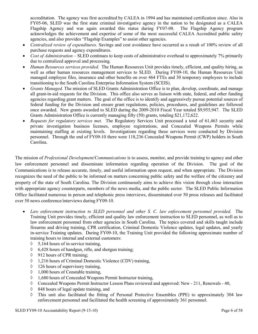accreditation. The agency was first accredited by CALEA in 1994 and has maintained certification since. Also in FY05-06, SLED was the first state criminal investigative agency in the nation to be designated as a CALEA Flagship Agency and was again awarded this status during FY07-08. The Flagship Agency program acknowledges the achievement and expertise of some of the most successful CALEA Accredited public safety agencies, and also provides "Flagship Examples" to assist other agencies.

- *Centralized review of expenditures*. Savings and cost avoidance have occurred as a result of 100% review of all purchase requests and agency expenditures.
- *Cost of Administration –* SLED continues to keep costs of administrative overhead to approximately 7% primarily due to centralized approval and processing.
- *Human Resources services provided.* The Human Resources Unit provides timely, efficient, and quality hiring, as well as other human resources management services to SLED. During FY09-10, the Human Resources Unit managed employee files, insurance and other benefits on over 464 FTEs and 30 temporary employees to include transitioning to the South Carolina Enterprise Information System (SCEIS).
- *Grants Managed.* The mission of SLED Grants Administration Office is to plan, develop, coordinate, and manage all grant-in-aid requests for the Division. This office also serves as liaison with state, federal, and other funding agencies regarding grant matters. The goal of the office is to identify and aggressively pursue potential sources of federal funding for the Division and ensure grant regulations, policies, procedures, and guidelines are followed once awarded. New grants awarded to SLED during the 2009-2010 Fiscal Year totaled \$9,955,947. The SLED Grants Administration Office is currently managing fifty (50) grants, totaling \$21,172,622.
- *Requests for regulatory services met.* The Regulatory Services Unit processed a total of 61,463 security and private investigation business licenses, employee registrations, and Concealed Weapons Permits while maintaining staffing at existing levels. Investigations regarding these services were conducted by Division personnel. Through the end of FY09-10 there were 118,236 Concealed Weapons Permit (CWP) holders in South Carolina.

The mission of *Professional Development/Communications* is to assess, monitor, and provide training to agency and other law enforcement personnel and disseminate information regarding operation of the Division. The goal of the Communications is to release accurate, timely, and useful information upon request, and when appropriate. The Division recognizes the need of the public to be informed on matters concerning public safety and the welfare of the citizenry and property of the state of South Carolina. The Division continuously aims to achieve this vision through close interaction with appropriate agency counterparts, members of the news media, and the public sector. The SLED Public Information Office facilitated numerous in person and telephonic press interviews, disseminated over 50 press releases and facilitated over 50 news conference/interviews during FY09-10.

- *Law enforcement instruction to SLED personnel and other S. C. law enforcement personnel provided.* The Training Unit provides timely, efficient and quality law enforcement instruction to SLED personnel, as well as to law enforcement personnel from other agencies in South Carolina. The topics covered and skills taught include firearms and driving training, CPR certification, Criminal Domestic Violence updates, legal updates, and yearly in-service Training updates. During FY09-10, the Training Unit provided the following approximate number of training hours to internal and external customers:
	- ◊ 5,164 hours of in-service training,
	- ◊ 6,428 hours of handgun, rifle, and shotgun training;
	- ◊ 912 hours of CPR training;
	- ◊ 1,216 hours of Criminal Domestic Violence (CDV) training,
	- ◊ 126 hours of supervisory training,
	- ◊ 1,000 hours of Constable training,
	- ◊ 1,680 hours of Concealed Weapons Permit Instructor training,
	- ◊ Concealed Weapons Permit Instructor Lesson Plans reviewed and approved: New 211, Renewals 40,
	- ◊ 848 hours of legal update training, and
	- ◊ This unit also facilitated the fitting of Personal Protective Ensembles (PPE) to approximately 304 law enforcement personnel and facilitated the health screening of approximately 361 personnel.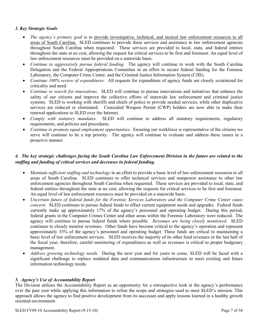#### *3. Key Strategic Goals*

- *The agency's primary goal* is to provide investigative, technical, and tactical law enforcement resources to all areas of South Carolina. SLED continues to provide these services and assistance to law enforcement agencies throughout South Carolina when requested. These services are provided to local, state, and federal entities throughout the state at no cost, allowing the request for critical services to be first and foremost. An equal level of law enforcement resources must be provided on a statewide basis.
- *Continue to aggressively pursue federal funding.* The agency will continue to work with the South Carolina Delegation and the Federal Appropriations Committee in an effort to secure federal funding for the Forensic Laboratory, the Computer Crime Center, and the Criminal Justice Information System (CJIS).
- *Continue 100% review of expenditures.* All requests for expenditure of agency funds are closely scrutinized for criticality and need.
- *Continue to search for innovations.* SLED will continue to pursue innovations and initiatives that enhance the safety of our citizens and improve the collective efforts of statewide law enforcement and criminal justice systems. SLED is working with sheriffs and chiefs of police to provide needed services, while other duplicative services are reduced or eliminated. Concealed Weapon Permit (CWP) holders are now able to make their renewal applications to SLED over the Internet.
- *Comply with statutory mandates.* SLED will continue to address all statutory requirements, regulatory requirements, and policies and procedures.
- *Continue to promote equal employment opportunities*. Ensuring our workforce is representative of the citizens we serve will continue to be a top priority. The agency will continue to evaluate and address these issues in a proactive manner.

#### *4. The key strategic challenges facing the South Carolina Law Enforcement Division in the future are related to the staffing and funding of critical services and decreases in federal funding.*

- *Maintain sufficient staffing and technology* in an effort to provide a basic level of law enforcement resources to all areas of South Carolina. SLED continues to offer technical services and manpower assistance to other law enforcement agencies throughout South Carolina when requested. These services are provided to local, state, and federal entities throughout the state at no cost, allowing the requests for critical services to be first and foremost. An equal level of law enforcement resources must be provided on a statewide basis.
- *Uncertain future of federal funds for the Forensic Services Laboratory and the Computer Crime Center cause concern.* SLED continues to pursue federal funds to offset current equipment needs and upgrades*.* Federal funds currently make up approximately 17% of the agency's personnel and operating budget. During this period, federal grants in the Computer Crimes Center and other areas within the Forensic Laboratory were reduced. The agency will continue to pursue federal funds where possible. *Revenues are being closely monitored.* SLED continues to closely monitor revenues. Other funds have become critical to the agency's operation and represent approximately 33% of the agency's personnel and operating budget. These funds are critical to maintaining a basic level of law enforcement services. SLED receives the majority of its other fund revenues in the last half of the fiscal year; therefore, careful monitoring of expenditures as well as revenues is critical to proper budgetary management.
- *Address growing technology needs.* During the next year and for years to come, SLED will be faced with a significant challenge to replace outdated data and communications infrastructure to meet existing and future information technology needs.

#### *5. Agency's Use of Accountability Report*

The Division utilizes the Accountability Report as an opportunity for a retrospective look at the agency's performance over the past year while applying this information to refine the scope and strategies used to meet SLED's mission. This approach allows the agency to find positive development from its successes and apply lessons learned in a healthy growth oriented environment.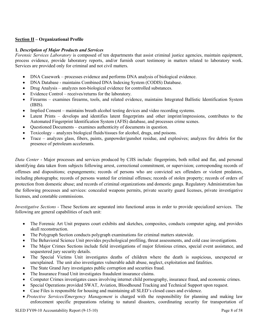#### **Section II – Organizational Profile**

#### **1***. Description of Major Products and Services*

*Forensic Services Laboratory* is composed of ten departments that assist criminal justice agencies, maintain equipment, process evidence, provide laboratory reports, and/or furnish court testimony in matters related to laboratory work. Services are provided only for criminal and not civil matters.

- DNA Casework processes evidence and performs DNA analysis of biological evidence.
- DNA Database maintains Combined DNA Indexing System (CODIS) Database.
- Drug Analysis analyzes non-biological evidence for controlled substances.
- Evidence Control receives/returns for the laboratory.
- Firearms examines firearms, tools, and related evidence, maintains Integrated Ballistic Identification System (IBIS).
- Implied Consent maintains breath alcohol testing devices and video recording systems.
- Latent Prints develops and identifies latent fingerprints and other imprint/impressions, contributes to the Automated Fingerprint Identification System (AFIS) database, and processes crime scenes.
- Questioned Documents examines authenticity of documents in question.
- Toxicology analyzes biological fluids/tissues for alcohol, drugs, and poisons.
- Trace analyzes glass, fibers, paints, gunpowder/gunshot residue, and explosives; analyzes fire debris for the presence of petroleum accelerants.

*Data Center* - Major processes and services produced by CJIS include: fingerprints, both rolled and flat, and personal identifying data taken from subjects following arrest, correctional commitment, or supervision; corresponding records of offenses and dispositions; expungements; records of persons who are convicted sex offenders or violent predators, including photographs; records of persons wanted for criminal offenses; records of stolen property; records of orders of protection from domestic abuse; and records of criminal organizations and domestic gangs. Regulatory Administration has the following processes and services: concealed weapons permits, private security guard licenses, private investigative licenses, and constable commissions.

*Investigative Sections* - These Sections are separated into functional areas in order to provide specialized services. The following are general capabilities of each unit:

- The Forensic Art Unit prepares court exhibits and sketches, composites, conducts computer aging, and provides skull reconstruction.
- The Polygraph Section conducts polygraph examinations for criminal matters statewide.
- The Behavioral Science Unit provides psychological profiling, threat assessments, and cold case investigations.
- The Major Crimes Sections include field investigations of major felonious crimes, special event assistance, and sequestered jury security details.
- The Special Victims Unit investigates deaths of children where the death is suspicious, unexpected or unexplained. The unit also investigates vulnerable adult abuse, neglect, exploitation and fatalities.
- The State Grand Jury investigates public corruption and securities fraud.
- The Insurance Fraud Unit investigates fraudulent insurance claims.
- Computer Crimes investigates cases involving internet child pornography, insurance fraud, and economic crimes.
- Special Operations provided SWAT, Aviation, Bloodhound Tracking and Technical Support upon request.
- Case Files is responsible for housing and maintaining all SLED's closed cases and evidence.
- *Protective Services/Emergency Management* is charged with the responsibility for planning and making law enforcement specific preparations relating to natural disasters, coordinating security for transportation of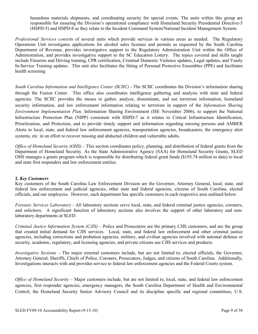hazardous materials shipments, and coordinating security for special events. The units within this group are responsible for ensuring the Division's operational compliance with Homeland Security Presidential Directive-5 (HSPD-5) and HSPD-8 as they relate to the Incident Command System/National Incident Management System.

*Professional Services consis*ts of several units which provide services in various areas as needed. The Regulatory Operations Unit investigates applications for alcohol sales licenses and permits as requested by the South Carolina Department of Revenue, provides investigative support to the Regulatory Administration Unit within the Office of Administration, and provides investigative support to the SC Education Lottery. The topics covered and skills taught include Firearms and Driving training, CPR certification, Criminal Domestic Violence updates, Legal updates, and Yearly In-Service Training updates. This unit also facilitates the fitting of Personal Protective Ensembles (PPE) and facilitates health screening

*South Carolina Information and Intelligence Center (SCIIC)* - The SCIIC coordinates the Division's information sharing through the Fusion Center. This office also coordinates intelligence gathering and analysis with state and federal agencies. The SCIIC provides the means to gather, analyze, disseminate, and use terrorism information, homeland security information, and law enforcement information relating to terrorism in support of the *Information Sharing Environment Implementation Plan,* Information Sharing Environment (ISE November 2006), to support the National Infrastructure Protection Plan (NIPP) consistent with HSPD-7 as it relates to Critical Infrastructure Identification, Prioritization, and Protection, and to provide timely support and information regarding missing persons and AMBER Alerts to local, state, and federal law enforcement agencies, transportation agencies, broadcasters, the emergency alert systems, etc. in an effort to recover missing and abducted children and vulnerable adults.

*Office of Homeland Security (OHS)* – This section coordinates policy, planning, and distribution of federal grants from the Department of Homeland Security. As the State Administrative Agency (SAA) for Homeland Security Grants, SLED OHS manages a grants program which is responsible for distributing federal grant funds (\$193.74 million to date) to local and state first responders and law enforcement entities.

#### **2***. Key Customers*

Key customers of the South Carolina Law Enforcement Division are the Governor, Attorney General, local, state, and federal law enforcement and judicial agencies, other state and federal agencies, citizens of South Carolina, elected officials, and our employees. However, each department has specific customers in each respective area outlined below:

*Forensic Services Laboratory* - All laboratory sections serve local, state, and federal criminal justice agencies, coroners, and solicitors. A significant function of laboratory sections also involves the support of other laboratory and nonlaboratory departments at SLED.

*Criminal Justice Information System (CJIS)* – Police and Prosecutors are the primary CJIS customers, and are the group that created initial demand for CJIS services. Local, state, and federal law enforcement and other criminal justice agencies, including corrections and probation agencies, military, and civilian agencies involved with national defense or security, academic, regulatory, and licensing agencies, and private citizens use CJIS services and products.

*Investigative Sections* – The major external customers include, but are not limited to, elected officials, the Governor, Attorney General, Sheriffs, Chiefs of Police, Coroners, Prosecutors, Judges, and citizens of South Carolina. Additionally, Investigations interacts with and provides service to federal law enforcement agencies and the Federal Courts system.

*Office of Homeland Security* – Major customers include, but are not limited to, local, state, and federal law enforcement agencies, first responder agencies, emergency managers, the South Carolina Department of Health and Environmental Control, the Homeland Security Senior Advisory Council and its discipline specific and regional committees, U.S.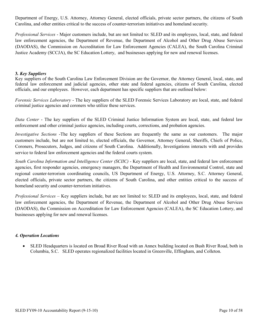Department of Energy, U.S. Attorney, Attorney General, elected officials, private sector partners, the citizens of South Carolina, and other entities critical to the success of counter-terrorism initiatives and homeland security.

*Professional Services* - Major customers include, but are not limited to: SLED and its employees, local, state, and federal law enforcement agencies, the Department of Revenue, the Department of Alcohol and Other Drug Abuse Services (DAODAS), the Commission on Accreditation for Law Enforcement Agencies (CALEA), the South Carolina Criminal Justice Academy (SCCJA), the SC Education Lottery, and businesses applying for new and renewal licenses.

#### **3***. Key Suppliers*

Key suppliers of the South Carolina Law Enforcement Division are the Governor, the Attorney General, local, state, and federal law enforcement and judicial agencies, other state and federal agencies, citizens of South Carolina, elected officials, and our employees. However, each department has specific suppliers that are outlined below:

*Forensic Services Laboratory* - The key suppliers of the SLED Forensic Services Laboratory are local, state, and federal criminal justice agencies and coroners who utilize these services.

*Data Center* - The key suppliers of the SLED Criminal Justice Information System are local, state, and federal law enforcement and other criminal justice agencies, including courts, corrections, and probation agencies.

*Investigative Sections* -The key suppliers of these Sections are frequently the same as our customers. The major customers include, but are not limited to, elected officials, the Governor, Attorney General, Sheriffs, Chiefs of Police, Coroners, Prosecutors, Judges, and citizens of South Carolina. Additionally, Investigations interacts with and provides service to federal law enforcement agencies and the federal courts system.

*South Carolina Information and Intelligence Center (SCIIC)* - Key suppliers are local, state, and federal law enforcement agencies, first responder agencies, emergency managers, the Department of Health and Environmental Control, state and regional counter-terrorism coordinating councils, US Department of Energy, U.S. Attorney, S.C. Attorney General, elected officials, private sector partners, the citizens of South Carolina, and other entities critical to the success of homeland security and counter-terrorism initiatives.

*Professional Services* – Key suppliers include, but are not limited to: SLED and its employees, local, state, and federal law enforcement agencies, the Department of Revenue, the Department of Alcohol and Other Drug Abuse Services (DAODAS), the Commission on Accreditation for Law Enforcement Agencies (CALEA), the SC Education Lottery, and businesses applying for new and renewal licenses.

#### *4. Operation Locations*

• SLED Headquarters is located on Broad River Road with an Annex building located on Bush River Road, both in Columbia, S.C. SLED operates regionalized facilities located in Greenville, Effingham, and Colleton.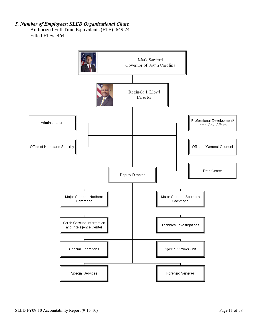## *5. Number of Employees: SLED Organizational Chart.*

Authorized Full Time Equivalents (FTE): 649.24 Filled FTEs: 464

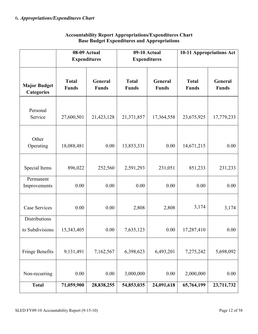|                                          | 08-09 Actual                 |                                | 09-10 Actual                 |                                | 10-11 Appropriations Act     |                         |  |
|------------------------------------------|------------------------------|--------------------------------|------------------------------|--------------------------------|------------------------------|-------------------------|--|
|                                          | <b>Expenditures</b>          |                                |                              | <b>Expenditures</b>            |                              |                         |  |
| <b>Major Budget</b><br><b>Categories</b> | <b>Total</b><br><b>Funds</b> | <b>General</b><br><b>Funds</b> | <b>Total</b><br><b>Funds</b> | <b>General</b><br><b>Funds</b> | <b>Total</b><br><b>Funds</b> | General<br><b>Funds</b> |  |
| Personal<br>Service                      | 27,600,501                   | 21,423,128                     | 21,371,857                   | 17,364,558                     | 23,675,925                   | 17,779,233              |  |
| Other<br>Operating                       | 18,088,481                   | 0.00                           | 13,853,331                   | 0.00                           | 14,671,215                   | 0.00                    |  |
| Special Items                            | 896,022                      | 252,560                        | 2,591,293                    | 231,051                        | 851,233                      | 231,233                 |  |
| Permanent<br>Improvements                | 0.00                         | 0.00                           | 0.00                         | 0.00                           | 0.00                         | 0.00                    |  |
| Case Services                            | 0.00                         | 0.00                           | 2,808                        | 2,808                          | 3,174                        | 3,174                   |  |
| Distributions<br>to Subdivisions         | 15,343,405                   | 0.00                           | 7,635,123                    | 0.00                           | 17,287,410                   | 0.00                    |  |
| Fringe Benefits                          | 9,131,491                    | 7,162,567                      | 6,398,623                    | 6,493,201                      | 7,275,242                    | 5,698,092               |  |
| Non-recurring                            | 0.00                         | 0.00                           | 3,000,000                    | 0.00                           | 2,000,000                    | 0.00                    |  |
| <b>Total</b>                             | 71,059,900                   | 28,838,255                     | 54,853,035                   | 24,091,618                     | 65,764,199                   | 23,711,732              |  |

#### **Accountability Report Appropriations/Expenditures Chart Base Budget Expenditures and Appropriations**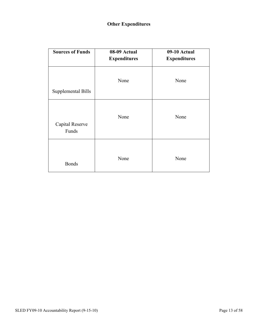| <b>Sources of Funds</b>  | 08-09 Actual<br><b>Expenditures</b> | 09-10 Actual<br><b>Expenditures</b> |
|--------------------------|-------------------------------------|-------------------------------------|
| Supplemental Bills       | None                                | None                                |
| Capital Reserve<br>Funds | None                                | None                                |
| <b>Bonds</b>             | None                                | None                                |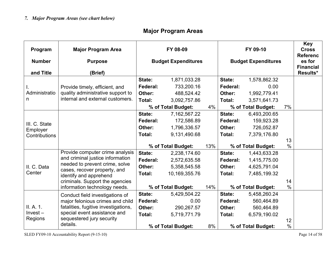# *7. Major Program Areas (see chart below)*

# **Major Program Areas**

| Program<br><b>Number</b> | <b>Major Program Area</b><br><b>Purpose</b>                                                                                           | FY 08-09<br><b>Budget Expenditures</b> |                    | FY 09-10<br><b>Budget Expenditures</b> |          |                    | Key<br><b>Cross</b><br><b>Referenc</b><br>es for<br><b>Financial</b> |          |
|--------------------------|---------------------------------------------------------------------------------------------------------------------------------------|----------------------------------------|--------------------|----------------------------------------|----------|--------------------|----------------------------------------------------------------------|----------|
| and Title                | (Brief)                                                                                                                               |                                        |                    |                                        |          |                    |                                                                      | Results* |
|                          |                                                                                                                                       | State:                                 | 1,871,033.28       |                                        | State:   | 1,578,862.32       |                                                                      |          |
|                          | Provide timely, efficient, and                                                                                                        | Federal:                               | 733,200.16         |                                        | Federal: | 0.00               |                                                                      |          |
| Administratio            | quality administrative support to                                                                                                     | Other:                                 | 488,524.42         |                                        | Other:   | 1,992,779.41       |                                                                      |          |
| n                        | internal and external customers.                                                                                                      | Total:                                 | 3,092,757.86       |                                        | Total:   | 3,571,641.73       |                                                                      |          |
|                          |                                                                                                                                       |                                        | % of Total Budget: | 4%                                     |          | % of Total Budget: | 7%                                                                   |          |
|                          |                                                                                                                                       | State:                                 | 7,162,567.22       |                                        | State:   | 6,493,200.65       |                                                                      |          |
| III. C. State            |                                                                                                                                       | Federal:                               | 172,586.89         |                                        | Federal: | 159,923.28         |                                                                      |          |
| Employer                 |                                                                                                                                       | Other:                                 | 1,796,336.57       |                                        | Other:   | 726,052.87         |                                                                      |          |
| Contributions            |                                                                                                                                       | Total:                                 | 9,131,490.68       |                                        | Total:   | 7,379,176.80       |                                                                      |          |
|                          |                                                                                                                                       |                                        |                    |                                        |          |                    | 13                                                                   |          |
|                          |                                                                                                                                       |                                        | % of Total Budget: | 13%                                    |          | % of Total Budget: | $\%$                                                                 |          |
|                          | Provide computer crime analysis<br>and criminal justice information<br>needed to prevent crime, solve<br>cases, recover property, and | State:                                 | 2,238,174.60       |                                        | State:   | 1,443,633.28       |                                                                      |          |
|                          |                                                                                                                                       | Federal:                               | 2,572,635.58       |                                        | Federal: | 1,415,775.00       |                                                                      |          |
| II. C. Data              |                                                                                                                                       | Other:                                 | 5,358,545.58       |                                        | Other:   | 4,625,791.04       |                                                                      |          |
| Center                   | identify and apprehend                                                                                                                | Total:                                 | 10,169,355.76      |                                        | Total:   | 7,485,199.32       |                                                                      |          |
|                          | criminals. Support the agencies                                                                                                       |                                        |                    |                                        |          |                    | 14                                                                   |          |
|                          | information technology needs.                                                                                                         |                                        | % of Total Budget: | 14%                                    |          | % of Total Budget: | $\%$                                                                 |          |
|                          | Conduct field investigations of                                                                                                       | State:                                 | 5,429,504.22       |                                        | State:   | 5,458,260.24       |                                                                      |          |
|                          | major felonious crimes and child                                                                                                      | Federal:                               | 0.00               |                                        | Federal: | 560,464.89         |                                                                      |          |
| II. A. 1.                | fatalities, fugitive investigations,                                                                                                  | Other:                                 | 290,267.57         |                                        | Other:   | 560,464.89         |                                                                      |          |
| $Invest -$               | special event assistance and                                                                                                          | Total:                                 | 5,719,771.79       |                                        | Total:   | 6,579,190.02       |                                                                      |          |
| Regions                  | sequestered jury security                                                                                                             |                                        |                    |                                        |          |                    | 12                                                                   |          |
|                          | details.                                                                                                                              |                                        | % of Total Budget: | 8%                                     |          | % of Total Budget: | $\%$                                                                 |          |

SLED FY09-10 Accountability Report (9-15-10) Page 14 of 58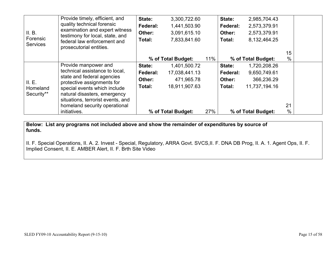| II. B.<br>Forensic<br><b>Services</b> | Provide timely, efficient, and<br>quality technical forensic<br>examination and expert witness<br>testimony for local, state, and<br>federal law enforcement and<br>prosecutorial entities. | State:<br>Federal:<br>Other:<br>Total: | 3,300,722.60<br>1,441,503.90<br>3,091,615.10<br>7,833,841.60 |     | State:<br>Federal:<br>Other:<br>Total: | 2,985,704.43<br>2,573,379.91<br>2,573,379.91<br>8,132,464.25 |    |  |
|---------------------------------------|---------------------------------------------------------------------------------------------------------------------------------------------------------------------------------------------|----------------------------------------|--------------------------------------------------------------|-----|----------------------------------------|--------------------------------------------------------------|----|--|
|                                       |                                                                                                                                                                                             |                                        |                                                              |     |                                        |                                                              | 15 |  |
|                                       |                                                                                                                                                                                             |                                        | % of Total Budget:                                           | 11% |                                        | % of Total Budget:                                           | %  |  |
|                                       | Provide manpower and                                                                                                                                                                        | State:                                 | 1,401,500.72                                                 |     | State:                                 | 1,720,208.26                                                 |    |  |
|                                       | technical assistance to local,                                                                                                                                                              | Federal:                               | 17,038,441.13                                                |     | Federal:                               | 9,650,749.61                                                 |    |  |
| II. E.<br>Homeland<br>Security**      | state and federal agencies<br>protective assignments for<br>special events which include<br>natural disasters, emergency<br>situations, terrorist events, and                               | Other:                                 | 471,965.78                                                   |     | Other:                                 | 366,236.29                                                   |    |  |
|                                       |                                                                                                                                                                                             | Total:                                 | 18,911,907.63                                                |     | Total:                                 | 11,737,194.16                                                |    |  |
|                                       | homeland security operational                                                                                                                                                               |                                        |                                                              |     |                                        |                                                              | 21 |  |
|                                       | initiatives.                                                                                                                                                                                |                                        | % of Total Budget:                                           | 27% |                                        | % of Total Budget:                                           | %  |  |

**Below: List any programs not included above and show the remainder of expenditures by source of funds.**

II. F. Special Operations, II. A. 2. Invest - Special, Regulatory, ARRA Govt. SVCS,II. F. DNA DB Prog, II. A. 1. Agent Ops, II. F. Implied Consent, II. E. AMBER Alert, II. F. Brth Site Video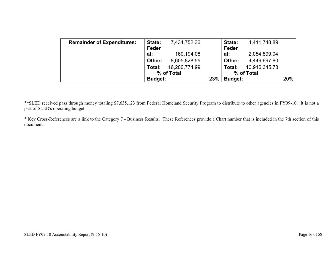| <b>Remainder of Expenditures:</b> | State:         | 7,434,752.36  |     | State:         | 4,411,748.89  |     |
|-----------------------------------|----------------|---------------|-----|----------------|---------------|-----|
|                                   | Feder          |               |     | Feder          |               |     |
|                                   | al:            | 160,194.08    |     | al:            | 2,054,899.04  |     |
|                                   | Other:         | 8,605,828.55  |     | Other:         | 4,449,697.80  |     |
|                                   | Total:         | 16,200,774.99 |     | Total:         | 10,916,345.73 |     |
|                                   |                | % of Total    |     |                | % of Total    |     |
|                                   | <b>Budget:</b> |               | 23% | <b>Budget:</b> |               | 20% |
|                                   |                |               |     |                |               |     |

\*\*SLED received pass through money totaling \$7,635,123 from Federal Homeland Security Program to distribute to other agencies in FY09-10. It is not a part of SLED's operating budget.

\* Key Cross-References are a link to the Category 7 - Business Results. These References provide a Chart number that is included in the 7th section of this document.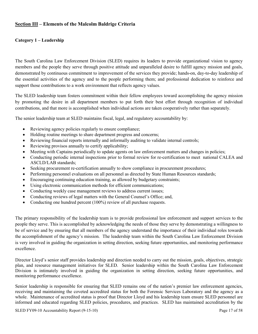#### **Section III – Elements of the Malcolm Baldrige Criteria**

#### **Category 1 – Leadership**

The South Carolina Law Enforcement Division (SLED) requires its leaders to provide organizational vision to agency members and the people they serve through positive attitude and unparalleled desire to fulfill agency mission and goals, demonstrated by continuous commitment to improvement of the services they provide; hands-on, day-to-day leadership of the essential activities of the agency and to the people performing them; and professional dedication to reinforce and support those contributions to a work environment that reflects agency values.

The SLED leadership team fosters commitment within their fellow employees toward accomplishing the agency mission by promoting the desire in all department members to put forth their best effort through recognition of individual contributions, and that more is accomplished when individual actions are taken cooperatively rather than separately.

The senior leadership team at SLED maintains fiscal, legal, and regulatory accountability by:

- Reviewing agency policies regularly to ensure compliance;
- Holding routine meetings to share department progress and concerns;
- Reviewing financial reports internally and informally auditing to validate internal controls;
- Reviewing provisos annually to certify applicability;
- Meeting with Captains periodically to update agents on law enforcement matters and changes in policies;
- Conducting periodic internal inspections prior to formal review for re-certification to meet national CALEA and ASCLD/LAB standards;
- Seeking procurement re-certification annually to show compliance in procurement procedures;
- Performing personnel evaluations on all personnel as directed by State Human Resources standards;
- Encouraging continuing education training, as allowed by budgetary constraints;
- Using electronic communication methods for efficient communications;
- Conducting weekly case management reviews to address current issues;
- Conducting reviews of legal matters with the General Counsel's Office; and,
- Conducting one hundred percent (100%) review of all purchase requests.

The primary responsibility of the leadership team is to provide professional law enforcement and support services to the people they serve. This is accomplished by acknowledging the needs of those they serve by demonstrating a willingness to be of service and by ensuring that all members of the agency understand the importance of their individual roles towards the accomplishment of the agency's mission. The leadership team within the South Carolina Law Enforcement Division is very involved in guiding the organization in setting direction, seeking future opportunities, and monitoring performance excellence.

Director Lloyd's senior staff provides leadership and direction needed to carry out the mission, goals, objectives, strategic plan, and resource management initiatives for SLED. Senior leadership within the South Carolina Law Enforcement Division is intimately involved in guiding the organization in setting direction, seeking future opportunities, and monitoring performance excellence.

Senior leadership is responsible for ensuring that SLED remains one of the nation's premier law enforcement agencies, receiving and maintaining the coveted accredited status for both the Forensic Services Laboratory and the agency as a whole. Maintenance of accredited status is proof that Director Lloyd and his leadership team ensure SLED personnel are informed and educated regarding SLED policies, procedures, and practices. SLED has maintained accreditation by the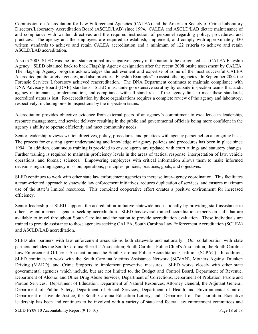Commission on Accreditation for Law Enforcement Agencies (CALEA) and the American Society of Crime Laboratory Directors/Laboratory Accreditation Board (ASCLD/LAB) since 1994. CALEA and ASCLD/LAB dictate maintenance of and compliance with written directives and the required instruction of personnel regarding policy, procedures, and practices. The agency and the employees are required to establish, implement, and comply with approximately 330 written standards to achieve and retain CALEA accreditation and a minimum of 122 criteria to achieve and retain ASCLD/LAB accreditation.

Also in 2005, SLED was the first state criminal investigative agency in the nation to be designated as a CALEA Flagship Agency. SLED obtained back to back Flagship Agency designation after the recent 2008 onsite assessment by CALEA. The Flagship Agency program acknowledges the achievement and expertise of some of the most successful CALEA Accredited public safety agencies, and also provides "Flagship Examples" to assist other agencies. In September 2004 the Forensic Services Laboratory achieved reaccreditation. The DNA Department continues to maintain compliance with DNA Advisory Board (DAB) standards. SLED must undergo extensive scrutiny by outside inspection teams that audit agency maintenance, implementation, and compliance with all standards. If the agency fails to meet these standards, accredited status is lost. Re-accreditation by these organizations requires a complete review of the agency and laboratory, respectively, including on-site inspections by the inspection teams.

Accreditation provides objective evidence from external peers of an agency's commitment to excellence in leadership, resource management, and service delivery resulting in the public and governmental officials being more confident in the agency's ability to operate efficiently and meet community needs.

Senior leadership reviews written directives, policy, procedures, and practices with agency personnel on an ongoing basis. The process for ensuring agent understanding and knowledge of agency policies and procedures has been in place since 1994. In addition, continuous training is provided to ensure agents are updated with court rulings and statutory changes. Further training is required to maintain proficiency levels in the areas of tactical response, interpretation of law, vehicle operations, and forensic sciences. Empowering employees with critical information allows them to make informed decisions regarding agency mission, operations, principles, policies, practices, goals, and objectives.

SLED continues to work with other state law enforcement agencies to increase inter-agency coordination. This facilitates a team-oriented approach to statewide law enforcement initiatives, reduces duplication of services, and ensures maximum use of the state's limited resources. This combined cooperative effort creates a positive environment for increased efficiency.

Senior leadership at SLED supports the accreditation initiative statewide and nationally by providing staff assistance to other law enforcement agencies seeking accreditation. SLED has several trained accreditation experts on staff that are available to travel throughout South Carolina and the nation to provide accreditation evaluation. These individuals are trained to provide assistance to those agencies seeking CALEA, South Carolina Law Enforcement Accreditation (SCLEA) and ASCLD/LAB accreditation.

SLED also partners with law enforcement associations both statewide and nationally. Our collaboration with state partners includes the South Carolina Sheriffs' Association; South Carolina Police Chief's Association, the South Carolina Law Enforcement Officer's Association and the South Carolina Police Accreditation Coalition (SCPAC). In addition, SLED continues to work with the South Carolina Victims Assistance Network (SCVAN), Mothers Against Drunken Driving (MADD), and Crime Stoppers to implement preventive measures. SLED works closely with other state governmental agencies which include, but are not limited to, the Budget and Control Board, Department of Revenue, Department of Alcohol and Other Drug Abuse Services, Department of Corrections, Department of Probation, Parole and Pardon Services, Department of Education, Department of Natural Resources, Attorney General, the Adjutant General, Department of Public Safety, Department of Social Services, Department of Health and Environmental Control, Department of Juvenile Justice, the South Carolina Education Lottery, and Department of Transportation. Executive leadership has been and continues to be involved with a variety of state and federal law enforcement committees and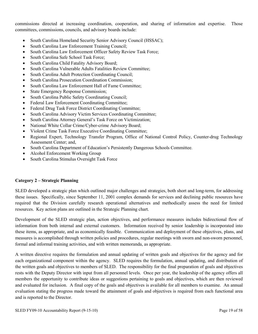commissions directed at increasing coordination, cooperation, and sharing of information and expertise. Those committees, commissions, councils, and advisory boards include:

- South Carolina Homeland Security Senior Advisory Council (HSSAC);
- South Carolina Law Enforcement Training Council;
- South Carolina Law Enforcement Officer Safety Review Task Force;
- South Carolina Safe School Task Force;
- South Carolina Child Fatality Advisory Board;
- South Carolina Vulnerable Adults Fatalities Review Committee;
- South Carolina Adult Protection Coordinating Council;
- South Carolina Prosecution Coordination Commission;
- South Carolina Law Enforcement Hall of Fame Committee;
- State Emergency Response Commission;
- South Carolina Public Safety Coordinating Council;
- Federal Law Enforcement Coordinating Committee;
- Federal Drug Task Force District Coordinating Committee;
- South Carolina Advisory Victim Services Coordinating Committee;
- South Carolina Attorney General's Task Force on Victimization;
- National White Collar Crime/Cyber-crime Advisory Board;
- Violent Crime Task Force Executive Coordinating Committee;
- Regional Expert, Technology Transfer Program, Office of National Control Policy, Counter-drug Technology Assessment Center; and,
- South Carolina Department of Education's Persistently Dangerous Schools Committee.
- Alcohol Enforcement Working Group
- South Carolina Stimulus Oversight Task Force

#### **Category 2 – Strategic Planning**

SLED developed a strategic plan which outlined major challenges and strategies, both short and long-term, for addressing these issues. Specifically, since September 11, 2001 complex demands for services and declining public resources have required that the Division carefully research operational alternatives and methodically assess the need for limited resources. Key action plans are outlined in the Strategic Planning chart.

Development of the SLED strategic plan, action objectives, and performance measures includes bidirectional flow of information from both internal and external customers. Information received by senior leadership is incorporated into these items, as appropriate, and as economically feasible. Communication and deployment of these objectives, plans, and measures is accomplished through written policies and procedures, regular meetings with sworn and non-sworn personnel, formal and informal training activities, and with written memoranda, as appropriate.

A written directive requires the formulation and annual updating of written goals and objectives for the agency and for each organizational component within the agency. SLED requires the formulation, annual updating, and distribution of the written goals and objectives to members of SLED. The responsibility for the final preparation of goals and objectives rests with the Deputy Director with input from all personnel levels. Once per year, the leadership of the agency offers all members the opportunity to contribute ideas or suggestions pertaining to goals and objectives, which are then reviewed and evaluated for inclusion. A final copy of the goals and objectives is available for all members to examine. An annual evaluation stating the progress made toward the attainment of goals and objectives is required from each functional area and is reported to the Director.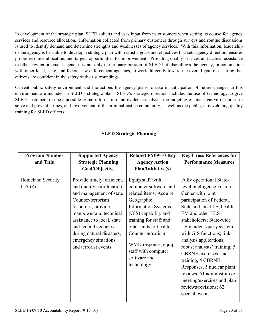In development of the strategic plan, SLED solicits and uses input from its customers when setting its course for agency services and resource allocation. Information collected from primary customers through surveys and routine discussions is used to identify demand and determine strengths and weaknesses of agency services. With this information, leadership of the agency is best able to develop a strategic plan with realistic goals and objectives that sets agency direction, ensures proper resource allocation, and targets opportunities for improvement. Providing quality services and tactical assistance to other law enforcement agencies is not only the primary mission of SLED but also allows the agency, in conjunction with other local, state, and federal law enforcement agencies, to work diligently toward the overall goal of ensuring that citizens are confident in the safety of their surroundings.

Current public safety environment and the actions the agency plans to take in anticipation of future changes to this environment are included in SLED's strategic plan. SLED's strategic direction includes the use of technology to give SLED customers the best possible crime information and evidence analysis, the targeting of investigative resources to solve and prevent crimes, and involvement of the criminal justice community, as well as the public, in developing quality training for SLED officers.

## **SLED Strategic Planning**

| <b>Program Number</b>         | <b>Supported Agency</b>                                                                                                                                                                                                                                                                     | <b>Related FY09-10 Key</b>                                                                                                                                                                                                                                                                     | <b>Key Cross References for</b>                                                                                                                                                                                                                                                                                                                                                                                                                                                                  |
|-------------------------------|---------------------------------------------------------------------------------------------------------------------------------------------------------------------------------------------------------------------------------------------------------------------------------------------|------------------------------------------------------------------------------------------------------------------------------------------------------------------------------------------------------------------------------------------------------------------------------------------------|--------------------------------------------------------------------------------------------------------------------------------------------------------------------------------------------------------------------------------------------------------------------------------------------------------------------------------------------------------------------------------------------------------------------------------------------------------------------------------------------------|
| and Title                     | <b>Strategic Planning</b><br>Goal/Objective                                                                                                                                                                                                                                                 | <b>Agency Action</b><br><b>Plan/Initiative(s)</b>                                                                                                                                                                                                                                              | <b>Performance Measures</b>                                                                                                                                                                                                                                                                                                                                                                                                                                                                      |
|                               |                                                                                                                                                                                                                                                                                             |                                                                                                                                                                                                                                                                                                |                                                                                                                                                                                                                                                                                                                                                                                                                                                                                                  |
| Homeland Security<br>II.A.(8) | Provide timely, efficient,<br>and quality coordination<br>and management of state<br>Counter-terrorism<br>resources; provide<br>manpower and technical<br>assistance to local, state<br>and federal agencies<br>during natural disasters,<br>emergency situations,<br>and terrorist events. | Equip staff with<br>computer software and<br>related items; Acquire<br>Geographic<br><b>Information Systems</b><br>(GIS) capability and<br>training for staff and<br>other units critical to<br>Counter-terrorism<br>WMD response; equip<br>staff with computer<br>software and<br>technology. | Fully operational State-<br>level intelligence Fusion<br>Center with joint<br>participation of Federal,<br>State and local LE, health,<br>EM and other HLS<br>stakeholders; State-wide<br>LE incident query system<br>with GIS functions; link<br>analysis applications;<br>robust analysts' training; 5<br><b>CBRNE</b> exercises and<br>training, 4 CBRNE<br>Responses, 5 nuclear plant<br>reviews; 51 administrative<br>meeting/exercises and plan<br>reviews/revisions; 62<br>special events |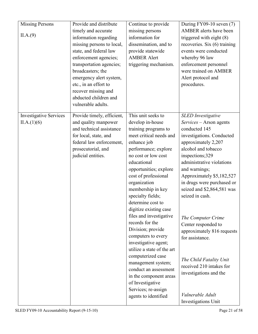| <b>Missing Persons</b><br>II.A.(9)           | Provide and distribute<br>timely and accurate<br>information regarding<br>missing persons to local,<br>state, and federal law<br>enforcement agencies;<br>transportation agencies;<br>broadcasters; the<br>emergency alert system,<br>etc., in an effort to<br>recover missing and<br>abducted children and<br>vulnerable adults. | Continue to provide<br>missing persons<br>information for<br>dissemination, and to<br>provide statewide<br><b>AMBER Alert</b><br>triggering mechanism.                                                                                                                                                                                                                                                                                                                                                                                                                                                                                            | During FY09-10 seven (7)<br>AMBER alerts have been<br>triggered with eight $(8)$<br>recoveries. Six (6) training<br>events were conducted<br>whereby 96 law<br>enforcement personnel<br>were trained on AMBER<br>Alert protocol and<br>procedures.                                                                                                                                                                                                                                                                                                      |
|----------------------------------------------|-----------------------------------------------------------------------------------------------------------------------------------------------------------------------------------------------------------------------------------------------------------------------------------------------------------------------------------|---------------------------------------------------------------------------------------------------------------------------------------------------------------------------------------------------------------------------------------------------------------------------------------------------------------------------------------------------------------------------------------------------------------------------------------------------------------------------------------------------------------------------------------------------------------------------------------------------------------------------------------------------|---------------------------------------------------------------------------------------------------------------------------------------------------------------------------------------------------------------------------------------------------------------------------------------------------------------------------------------------------------------------------------------------------------------------------------------------------------------------------------------------------------------------------------------------------------|
| <b>Investigative Services</b><br>II.A.(1)(6) | Provide timely, efficient,<br>and quality manpower<br>and technical assistance<br>for local, state, and<br>federal law enforcement,<br>prosecutorial, and<br>judicial entities.                                                                                                                                                   | This unit seeks to<br>develop in-house<br>training programs to<br>meet critical needs and<br>enhance job<br>performance; explore<br>no cost or low cost<br>educational<br>opportunities; explore<br>cost of professional<br>organization<br>membership in key<br>specialty fields;<br>determine cost to<br>digitize existing case<br>files and investigative<br>records for the<br>Division; provide<br>computers to every<br>investigative agent;<br>utilize a state of the art<br>computerized case<br>management system;<br>conduct an assessment<br>in the component areas<br>of Investigative<br>Services; re-assign<br>agents to identified | <b>SLED</b> Investigative<br>Services - Arson agents<br>conducted 145<br>investigations. Conducted<br>approximately 2,207<br>alcohol and tobacco<br>inspections;329<br>administrative violations<br>and warnings;<br>Approximately \$5,182,527<br>in drugs were purchased or<br>seized and \$2,864,581 was<br>seized in cash.<br>The Computer Crime<br>Center responded to<br>approximately 816 requests<br>for assistance.<br>The Child Fatality Unit<br>received 210 intakes for<br>investigations and the<br>Vulnerable Adult<br>Investigations Unit |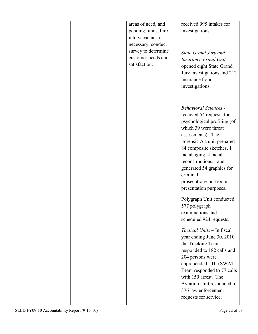|  | areas of need, and<br>pending funds, hire<br>into vacancies if<br>necessary; conduct<br>survey to determine<br>customer needs and<br>satisfaction. | received 995 intakes for<br>investigations.<br>State Grand Jury and<br>Insurance Fraud Unit-<br>opened eight State Grand<br>Jury investigations and 212<br>insurance fraud<br>investigations.                                                                                                                                                                                                                                                                                                                                                                                                                                                                                                                                           |
|--|----------------------------------------------------------------------------------------------------------------------------------------------------|-----------------------------------------------------------------------------------------------------------------------------------------------------------------------------------------------------------------------------------------------------------------------------------------------------------------------------------------------------------------------------------------------------------------------------------------------------------------------------------------------------------------------------------------------------------------------------------------------------------------------------------------------------------------------------------------------------------------------------------------|
|  |                                                                                                                                                    | <b>Behavioral Sciences -</b><br>received 54 requests for<br>psychological profiling (of<br>which 39 were threat<br>assessments). The<br>Forensic Art unit prepared<br>84 composite sketches, 1<br>facial aging, 4 facial<br>reconstructions, and<br>generated 54 graphics for<br>criminal<br>prosecution/courtroom<br>presentation purposes.<br>Polygraph Unit conducted<br>577 polygraph<br>examinations and<br>scheduled 924 requests.<br>Tactical Units - In fiscal<br>year ending June 30, 2010<br>the Tracking Team<br>responded to 182 calls and<br>204 persons were<br>apprehended. The SWAT<br>Team responded to 77 calls<br>with 159 arrest. The<br>Aviation Unit responded to<br>376 law enforcement<br>requests for service. |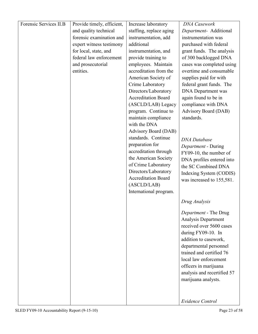| Forensic Services II.B | Provide timely, efficient, | Increase laboratory         | <b>DNA</b> Casework         |
|------------------------|----------------------------|-----------------------------|-----------------------------|
|                        | and quality technical      | staffing, replace aging     | Department- Additional      |
|                        | forensic examination and   | instrumentation, add        | instrumentation was         |
|                        | expert witness testimony   | additional                  | purchased with federal      |
|                        | for local, state, and      | instrumentation, and        | grant funds. The analysis   |
|                        | federal law enforcement    | provide training to         | of 300 backlogged DNA       |
|                        | and prosecutorial          | employees. Maintain         | cases was completed using   |
|                        | entities.                  | accreditation from the      | overtime and consumable     |
|                        |                            | American Society of         | supplies paid for with      |
|                        |                            | Crime Laboratory            | federal grant funds. The    |
|                        |                            | Directors/Laboratory        | <b>DNA</b> Department was   |
|                        |                            | <b>Accreditation Board</b>  | again found to be in        |
|                        |                            | (ASCLD/LAB) Legacy          | compliance with DNA         |
|                        |                            | program. Continue to        | <b>Advisory Board (DAB)</b> |
|                        |                            | maintain compliance         | standards.                  |
|                        |                            | with the DNA                |                             |
|                        |                            | <b>Advisory Board (DAB)</b> |                             |
|                        |                            | standards. Continue         | <b>DNA</b> Database         |
|                        |                            | preparation for             | Department - During         |
|                        |                            | accreditation through       | FY09-10, the number of      |
|                        |                            | the American Society        | DNA profiles entered into   |
|                        |                            | of Crime Laboratory         | the SC Combined DNA         |
|                        |                            | Directors/Laboratory        | Indexing System (CODIS)     |
|                        |                            | <b>Accreditation Board</b>  | was increased to 155,581.   |
|                        |                            | (ASCLD/LAB)                 |                             |
|                        |                            | International program.      |                             |
|                        |                            |                             | Drug Analysis               |
|                        |                            |                             |                             |
|                        |                            |                             | Department - The Drug       |
|                        |                            |                             | Analysis Department         |
|                        |                            |                             | received over 5600 cases    |
|                        |                            |                             | during FY09-10. In          |
|                        |                            |                             | addition to casework,       |
|                        |                            |                             | departmental personnel      |
|                        |                            |                             | trained and certified 76    |
|                        |                            |                             | local law enforcement       |
|                        |                            |                             | officers in marijuana       |
|                        |                            |                             | analysis and recertified 57 |
|                        |                            |                             | marijuana analysts.         |
|                        |                            |                             |                             |
|                        |                            |                             |                             |
|                        |                            |                             | <b>Evidence Control</b>     |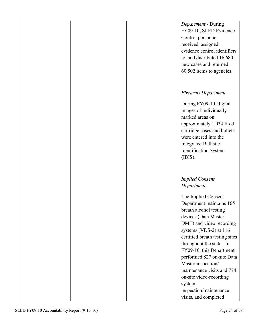|  | Department - During            |
|--|--------------------------------|
|  | FY09-10, SLED Evidence         |
|  | Control personnel              |
|  | received, assigned             |
|  | evidence control identifiers   |
|  | to, and distributed 16,680     |
|  | new cases and returned         |
|  | 60,502 items to agencies.      |
|  |                                |
|  |                                |
|  | Firearms Department-           |
|  |                                |
|  | During FY09-10, digital        |
|  | images of individually         |
|  | marked areas on                |
|  | approximately 1,034 fired      |
|  | cartridge cases and bullets    |
|  | were entered into the          |
|  | <b>Integrated Ballistic</b>    |
|  | <b>Identification System</b>   |
|  | (BIS).                         |
|  |                                |
|  |                                |
|  | <b>Implied Consent</b>         |
|  | Department -                   |
|  |                                |
|  | The Implied Consent            |
|  | Department maintains 165       |
|  | breath alcohol testing         |
|  | devices (Data Master           |
|  | DMT) and video recording       |
|  | systems (VDS-2) at 116         |
|  | certified breath testing sites |
|  | throughout the state. In       |
|  | FY09-10, this Department       |
|  | performed 827 on-site Data     |
|  | Master inspection/             |
|  | maintenance visits and 774     |
|  | on-site video-recording        |
|  | system                         |
|  |                                |
|  | inspection/maintenance         |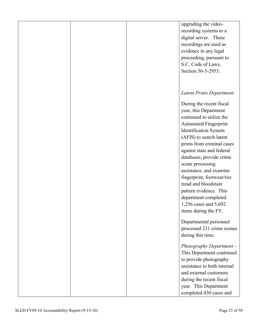|  | upgrading the video-             |
|--|----------------------------------|
|  | recording systems to a           |
|  | digital server. These            |
|  | recordings are used as           |
|  | evidence in any legal            |
|  | proceeding, pursuant to          |
|  | S.C. Code of Laws,               |
|  | Section 56-5-2953.               |
|  |                                  |
|  |                                  |
|  |                                  |
|  | <b>Latent Prints Department-</b> |
|  | During the recent fiscal         |
|  | year, this Department            |
|  | continued to utilize the         |
|  | <b>Automated Fingerprint</b>     |
|  | Identification System            |
|  | (AFIS) to search latent          |
|  | prints from criminal cases       |
|  |                                  |
|  | against state and federal        |
|  | databases, provide crime         |
|  | scene processing                 |
|  | assistance, and examine          |
|  | fingerprint, footwear/tire       |
|  | tread and bloodstain             |
|  | pattern evidence. This           |
|  | department completed             |
|  | 1,256 cases and 5,692            |
|  | items during the FY.             |
|  | Departmental personnel           |
|  | processed 231 crime scenes       |
|  | during this time.                |
|  |                                  |
|  | Photography Department-          |
|  | This Department continued        |
|  | to provide photography           |
|  | assistance to both internal      |
|  | and external customers           |
|  | during the recent fiscal         |
|  | year. This Department            |
|  | completed 430 cases and          |
|  |                                  |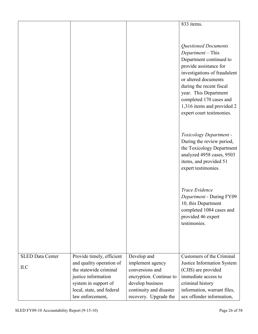|                         |                           |                         | 833 items.                   |
|-------------------------|---------------------------|-------------------------|------------------------------|
|                         |                           |                         |                              |
|                         |                           |                         |                              |
|                         |                           |                         |                              |
|                         |                           |                         | <b>Questioned Documents</b>  |
|                         |                           |                         | Department – This            |
|                         |                           |                         | Department continued to      |
|                         |                           |                         | provide assistance for       |
|                         |                           |                         | investigations of fraudulent |
|                         |                           |                         | or altered documents         |
|                         |                           |                         | during the recent fiscal     |
|                         |                           |                         | year. This Department        |
|                         |                           |                         |                              |
|                         |                           |                         | completed 170 cases and      |
|                         |                           |                         | 1,316 items and provided 2   |
|                         |                           |                         | expert court testimonies.    |
|                         |                           |                         |                              |
|                         |                           |                         | Toxicology Department -      |
|                         |                           |                         |                              |
|                         |                           |                         | During the review period,    |
|                         |                           |                         | the Toxicology Department    |
|                         |                           |                         | analyzed 4958 cases, 9503    |
|                         |                           |                         | items, and provided 51       |
|                         |                           |                         | expert testimonies.          |
|                         |                           |                         |                              |
|                         |                           |                         | Trace Evidence               |
|                         |                           |                         | Department - During FY09     |
|                         |                           |                         | 10, this Department          |
|                         |                           |                         | completed 1084 cases and     |
|                         |                           |                         | provided 46 expert           |
|                         |                           |                         | testimonies.                 |
|                         |                           |                         |                              |
|                         |                           |                         |                              |
|                         |                           |                         |                              |
|                         |                           |                         |                              |
| <b>SLED Data Center</b> | Provide timely, efficient | Develop and             | Customers of the Criminal    |
|                         | and quality operation of  | implement agency        | Justice Information System   |
| ILC                     | the statewide criminal    | conversions and         | (CJIS) are provided          |
|                         | justice information       | encryption. Continue to | immediate access to          |
|                         | system in support of      | develop business        | criminal history             |
|                         | local, state, and federal | continuity and disaster | information, warrant files,  |
|                         | law enforcement,          | recovery. Upgrade the   | sex offender information,    |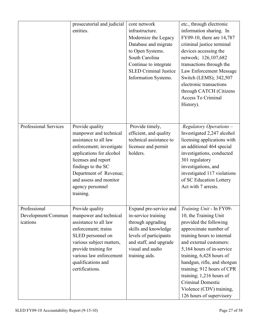|                                                | prosecutorial and judicial<br>entities.                                                                                                                                                                                                                      | core network<br>infrastructure.<br>Modernize the Legacy<br>Database and migrate<br>to Open Systems.<br>South Carolina<br>Continue to integrate<br><b>SLED Criminal Justice</b><br>Information Systems. | etc., through electronic<br>information sharing. In<br>FY09-10, there are 14,787<br>criminal justice terminal<br>devices accessing the<br>network; 126,107,682<br>transactions through the<br>Law Enforcement Message<br>Switch (LEMS); 342,507<br>electronic transactions<br>through CATCH (Citizens<br><b>Access To Criminal</b><br>History).                                                       |
|------------------------------------------------|--------------------------------------------------------------------------------------------------------------------------------------------------------------------------------------------------------------------------------------------------------------|--------------------------------------------------------------------------------------------------------------------------------------------------------------------------------------------------------|-------------------------------------------------------------------------------------------------------------------------------------------------------------------------------------------------------------------------------------------------------------------------------------------------------------------------------------------------------------------------------------------------------|
|                                                |                                                                                                                                                                                                                                                              |                                                                                                                                                                                                        |                                                                                                                                                                                                                                                                                                                                                                                                       |
| Professional Services                          | Provide quality<br>manpower and technical<br>assistance to all law<br>enforcement; investigate<br>applications for alcohol<br>licenses and report<br>findings to the SC<br>Department of Revenue;<br>and assess and monitor<br>agency personnel<br>training. | Provide timely,<br>efficient, and quality<br>technical assistance to<br>licensee and permit<br>holders.                                                                                                | <b>Regulatory Operations -</b><br>Investigated 2,247 alcohol<br>licensing applications with<br>an additional 464 special<br>investigations, conducted<br>301 regulatory<br>investigations, and<br>investigated 117 violations<br>of SC Education Lottery<br>Act with 7 arrests.                                                                                                                       |
| Professional<br>Development/Commun<br>ications | Provide quality<br>manpower and technical<br>assistance to all law<br>enforcement; trains<br>SLED personnel on<br>various subject matters,<br>provide training for<br>various law enforcement<br>qualifications and<br>certifications.                       | Expand pre-service and<br>in-service training<br>through upgrading<br>skills and knowledge<br>levels of participants<br>and staff, and upgrade<br>visual and audio<br>training aids.                   | <i>Training Unit</i> - In FY09-<br>10, the Training Unit<br>provided the following<br>approximate number of<br>training hours to internal<br>and external customers:<br>5,164 hours of in-service<br>training, $6,428$ hours of<br>handgun, rifle, and shotgun<br>training; 912 hours of CPR<br>training; 1,216 hours of<br>Criminal Domestic<br>Violence (CDV) training,<br>126 hours of supervisory |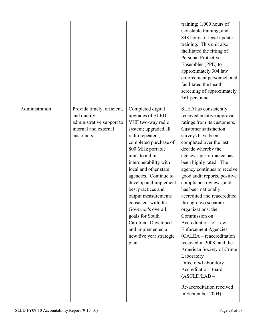|                |                                                                                                               |                                                                                                                                                                                                                                                                                                                                                                                                                                                                         | training; 1,000 hours of<br>Constable training; and<br>848 hours of legal update<br>training. This unit also<br>facilitated the fitting of<br><b>Personal Protective</b><br>Ensembles (PPE) to<br>approximately 304 law<br>enforcement personnel, and<br>facilitated the health<br>screening of approximately<br>361 personnel.                                                                                                                                                                                                                                                                                                                                                                                                                          |
|----------------|---------------------------------------------------------------------------------------------------------------|-------------------------------------------------------------------------------------------------------------------------------------------------------------------------------------------------------------------------------------------------------------------------------------------------------------------------------------------------------------------------------------------------------------------------------------------------------------------------|----------------------------------------------------------------------------------------------------------------------------------------------------------------------------------------------------------------------------------------------------------------------------------------------------------------------------------------------------------------------------------------------------------------------------------------------------------------------------------------------------------------------------------------------------------------------------------------------------------------------------------------------------------------------------------------------------------------------------------------------------------|
| Administration | Provide timely, efficient,<br>and quality<br>administrative support to<br>internal and external<br>customers. | Completed digital<br>upgrades of SLED<br>VHF two-way radio<br>system; upgraded all<br>radio repeaters;<br>completed purchase of<br>800 MHz portable<br>units to aid in<br>interoperability with<br>local and other state<br>agencies. Continue to<br>develop and implement<br>best practices and<br>output measurements<br>consistent with the<br>Governor's overall<br>goals for South<br>Carolina. Developed<br>and implemented a<br>new five year strategic<br>plan. | SLED has consistently<br>received positive approval<br>ratings from its customers.<br><b>Customer satisfaction</b><br>surveys have been<br>completed over the last<br>decade whereby the<br>agency's performance has<br>been highly rated. The<br>agency continues to receive<br>good audit reports, positive<br>compliance reviews, and<br>has been nationally<br>accredited and reaccredited<br>through two separate<br>organizations: the<br>Commission on<br>Accreditation for Law<br><b>Enforcement Agencies</b><br>(CALEA – reaccreditation<br>received in 2008) and the<br>American Society of Crime<br>Laboratory<br>Directors/Laboratory<br><b>Accreditation Board</b><br>$(ASCII) / LAB -$<br>Re-accreditation received<br>in September 2004). |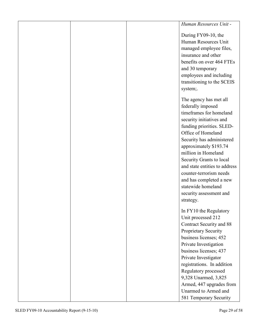|  | Human Resources Unit -        |
|--|-------------------------------|
|  | During FY09-10, the           |
|  | Human Resources Unit          |
|  | managed employee files,       |
|  | insurance and other           |
|  | benefits on over 464 FTEs     |
|  | and 30 temporary              |
|  | employees and including       |
|  | transitioning to the SCEIS    |
|  | system;.                      |
|  | The agency has met all        |
|  | federally imposed             |
|  | timeframes for homeland       |
|  | security initiatives and      |
|  | funding priorities. SLED-     |
|  | Office of Homeland            |
|  | Security has administered     |
|  | approximately \$193.74        |
|  | million in Homeland           |
|  | Security Grants to local      |
|  | and state entities to address |
|  | counter-terrorism needs       |
|  | and has completed a new       |
|  | statewide homeland            |
|  | security assessment and       |
|  | strategy.                     |
|  | In FY10 the Regulatory        |
|  | Unit processed 212            |
|  | Contract Security and 88      |
|  | Proprietary Security          |
|  | business licenses; 452        |
|  | Private Investigation         |
|  | business licenses; 437        |
|  | Private Investigator          |
|  | registrations. In addition    |
|  | Regulatory processed          |
|  | 9,328 Unarmed, 3,825          |
|  | Armed, 447 upgrades from      |
|  | Unarmed to Armed and          |
|  | 581 Temporary Security        |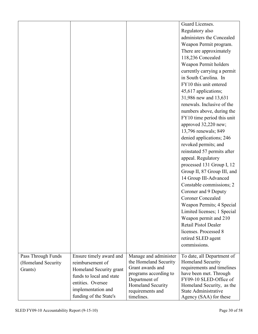|                    |                                                                                               |                                                     | Guard Licenses.                                                             |
|--------------------|-----------------------------------------------------------------------------------------------|-----------------------------------------------------|-----------------------------------------------------------------------------|
|                    |                                                                                               |                                                     | Regulatory also                                                             |
|                    |                                                                                               |                                                     | administers the Concealed                                                   |
|                    |                                                                                               |                                                     | Weapon Permit program.                                                      |
|                    |                                                                                               |                                                     | There are approximately                                                     |
|                    |                                                                                               |                                                     | 118,236 Concealed                                                           |
|                    |                                                                                               |                                                     | Weapon Permit holders                                                       |
|                    |                                                                                               |                                                     | currently carrying a permit                                                 |
|                    |                                                                                               |                                                     | in South Carolina. In                                                       |
|                    |                                                                                               |                                                     | FY10 this unit entered                                                      |
|                    |                                                                                               |                                                     | 45,617 applications;                                                        |
|                    |                                                                                               |                                                     | 31,986 new and 13,631                                                       |
|                    |                                                                                               |                                                     | renewals. Inclusive of the                                                  |
|                    |                                                                                               |                                                     | numbers above, during the                                                   |
|                    |                                                                                               |                                                     | FY10 time period this unit                                                  |
|                    |                                                                                               |                                                     | approved 32,220 new;                                                        |
|                    |                                                                                               |                                                     | 13,796 renewals; 849                                                        |
|                    |                                                                                               |                                                     | denied applications; 246                                                    |
|                    |                                                                                               |                                                     | revoked permits; and                                                        |
|                    |                                                                                               |                                                     | reinstated 57 permits after                                                 |
|                    |                                                                                               |                                                     | appeal. Regulatory                                                          |
|                    |                                                                                               |                                                     | processed 131 Group I, 12                                                   |
|                    |                                                                                               |                                                     | Group II, 87 Group III, and                                                 |
|                    |                                                                                               |                                                     | 14 Group III-Advanced                                                       |
|                    |                                                                                               |                                                     | Constable commissions; 2                                                    |
|                    |                                                                                               |                                                     | Coroner and 9 Deputy                                                        |
|                    |                                                                                               |                                                     | <b>Coroner Concealed</b>                                                    |
|                    |                                                                                               |                                                     | Weapon Permits; 4 Special                                                   |
|                    |                                                                                               |                                                     | Limited licenses; 1 Special                                                 |
|                    |                                                                                               |                                                     | Weapon permit and 210                                                       |
|                    |                                                                                               |                                                     | Retail Pistol Dealer                                                        |
|                    |                                                                                               |                                                     | licenses. Processed 8                                                       |
|                    |                                                                                               |                                                     | retired SLED agent                                                          |
|                    |                                                                                               |                                                     | commissions.                                                                |
| Pass Through Funds | Ensure timely award and                                                                       | Manage and administer                               | To date, all Department of                                                  |
| (Homeland Security | reimbursement of                                                                              | the Homeland Security                               | Homeland Security                                                           |
| Grants)            | Homeland Security grant                                                                       | Grant awards and                                    | requirements and timelines                                                  |
|                    |                                                                                               | programs according to                               | have been met. Through                                                      |
|                    |                                                                                               | Department of                                       | FY09-10 SLED-Office of                                                      |
|                    |                                                                                               |                                                     |                                                                             |
|                    |                                                                                               |                                                     |                                                                             |
|                    | funds to local and state<br>entities. Oversee<br>implementation and<br>funding of the State's | Homeland Security<br>requirements and<br>timelines. | Homeland Security, as the<br>State Administrative<br>Agency (SAA) for these |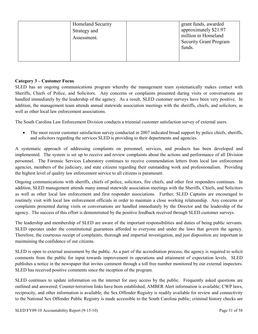| million in Homeland<br>Assessment.<br><b>Security Grant Program</b><br>funds. |
|-------------------------------------------------------------------------------|
|-------------------------------------------------------------------------------|

#### **Category 3 – Customer Focus**

SLED has an ongoing communications program whereby the management team systematically makes contact with Sheriffs, Chiefs of Police, and Solicitors. Any concerns or complaints presented during visits or conversations are handled immediately by the leadership of the agency. As a result, SLED customer surveys have been very positive. In addition, the management team attends annual statewide association meetings with the sheriffs, chiefs, and solicitors, as well as other local law enforcement associations.

The South Carolina Law Enforcement Division conducts a triennial customer satisfaction survey of external users.

• The most recent customer satisfaction survey conducted in 2007 indicated broad support by police chiefs, sheriffs, and solicitors regarding the services SLED is providing to their departments and agencies.

A systematic approach of addressing complaints on personnel, services, and products has been developed and implemented. The system is set up to receive and review complaints about the actions and performance of all Division personnel. The Forensic Services Laboratory continues to receive commendation letters from local law enforcement agencies, members of the judiciary, and state citizens regarding their outstanding work and professionalism. Providing the highest level of quality law enforcement service to all citizens is paramount.

Ongoing communications with sheriffs, chiefs of police, solicitors, fire chiefs, and other first responders continues. In addition, SLED management attends many annual statewide association meetings with the Sheriffs, Chiefs, and Solicitors as well as other local law enforcement and first responder associations. Further, SLED Captains are encouraged to routinely visit with local law enforcement officials in order to maintain a close working relationship. Any concerns or complaints presented during visits or conversations are handled immediately by the Director and the leadership of the agency. The success of this effort is demonstrated by the positive feedback received through SLED customer surveys.

The leadership and membership of SLED are aware of the important responsibilities and duties of being public servants. SLED operates under the constitutional guarantees afforded to everyone and under the laws that govern the agency. Therefore, the courteous receipt of complaints, thorough and impartial investigation, and just disposition are important in maintaining the confidence of our citizens.

SLED is open to external assessment by the public. As a part of the accreditation process, the agency is required to solicit comments from the public for input towards improvement in operations and attainment of expectation levels. SLED publishes a notice in the newspaper that invites comment through a toll free number monitored by our external inspectors. SLED has received positive comments since the inception of the program.

SLED continues to update information on the internet for easy access by the public. Frequently asked questions are outlined and answered; Counter-terrorism links have been established; AMBER Alert information is available; CWP laws, reciprocity, and other information is available; the Sex Offender Registry is readily available for review and connectivity to the National Sex Offender Public Registry is made accessible to the South Carolina public; criminal history checks are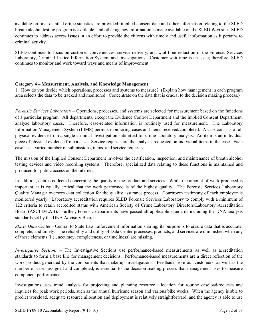available on-line; detailed crime statistics are provided; implied consent data and other information relating to the SLED breath alcohol testing program is available; and other agency information is made available on the SLED Web site. SLED continues to address access issues in an effort to provide the citizens with timely and useful information as it pertains to criminal activity.

SLED continues to focus on customer conveniences, service delivery, and wait time reduction in the Forensic Services Laboratory, Criminal Justice Information System, and Investigations. Customer wait-time is an issue; therefore, SLED continues to monitor and work toward ways and means of improvement.

#### **Category 4 – Measurement, Analysis, and Knowledge Management**

1. How do you decide which operations, processes and systems to measure? (Explain how management in each program area selects the data to be tracked and monitored. Concentrate on the data that is crucial to the decision making process.)

*Forensic Services Laboratory –* Operations, processes, and systems are selected for measurement based on the functions of a particular program. All departments, except the Evidence Control Department and the Implied Consent Department, analyze laboratory cases. Therefore, case-related information is routinely used for measurement. The Laboratory Information Management System (LIMS) permits monitoring cases and items received/completed. A case consists of all physical evidence from a single criminal investigation submitted for crime laboratory analysis. An item is an individual piece of physical evidence from a case. Service requests are the analyses requested on individual items in the case. Each case has a varied number of submissions, items, and service requests.

The mission of the Implied Consent Department involves the certification, inspection, and maintenance of breath alcohol testing devices and video recording systems. Therefore, specialized data relating to these functions is maintained and produced for public access on the internet.

In addition, data is collected concerning the quality of the product and services. While the amount of work produced is important, it is equally critical that the work performed is of the highest quality. The Forensic Services Laboratory Quality Manager oversees data collection for the quality assurance process. Courtroom testimony of each employee is monitored yearly. Laboratory accreditation requires SLED Forensic Services Laboratory to comply with a minimum of 122 criteria to retain accredited status with American Society of Crime Laboratory Directors/Laboratory Accreditation Board (ASCLD/LAB). Further, Forensic departments have passed all applicable standards including the DNA analysis standards set by the DNA Advisory Board.

*SLED Data Center -* Central to State Law Enforcement information sharing, its purpose is to ensure data that is accurate, complete, and timely. The reliability and utility of Data Center processes, products, and services are diminished when any of these elements (i.e., accuracy, completeness, or timeliness) are missing.

*Investigative Sections –* The Investigative Sections use performance-based measurements as well as accreditation standards to form a base line for management decisions. Performance-based measurements are a direct reflection of the work product generated by the components that make up Investigations. Feedback from our customers, as well as the number of cases assigned and completed, is essential to the decision making process that management uses to measure component performance.

Investigations uses trend analysis for projecting and planning resource allocation for routine caseload/requests and inquiries for peak work periods, such as the annual hurricane season and various bike weeks. When the agency is able to predict workload, adequate resource allocation and deployment is relatively straightforward, and the agency is able to use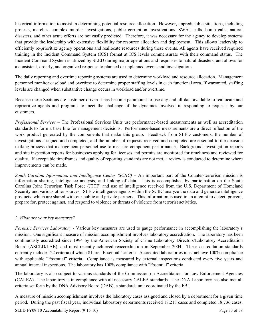historical information to assist in determining potential resource allocation. However, unpredictable situations, including protests, marches, complex murder investigations, public corruption investigations, SWAT calls, bomb calls, natural disasters, and other acute efforts are not easily predicted. Therefore, it was necessary for the agency to develop systems that provide the leadership with extensive flexibility for resource allocation and deployment. This allows leadership to efficiently re-prioritize agency operations and reallocate resources during these events. All agents have received required training in the Incident Command System (ICS) format at ICS levels commensurate with their command status. The Incident Command System is utilized by SLED during major operations and responses to natural disasters, and allows for a consistent, orderly, and organized response to planned or unplanned events and investigations.

The daily reporting and overtime reporting systems are used to determine workload and resource allocation. Management personnel monitor caseload and overtime to determine proper staffing levels in each functional area. If warranted, staffing levels are changed when substantive change occurs in workload and/or overtime.

Because these Sections are customer driven it has become paramount to use any and all data available to reallocate and reprioritize agents and programs to meet the challenge of the dynamics involved in responding to requests by our customers.

*Professional Services –* The Professional Services Units use performance-based measurements as well as accreditation standards to form a base line for management decisions. Performance-based measurements are a direct reflection of the work product generated by the components that make this group. Feedback from SLED customers, the number of investigations assigned and completed, and the number of requests received and completed are essential to the decision making process that management personnel use to measure component performance. Background investigation reports and site inspection reports for businesses applying for licenses and permits are monitored for timeliness and reviewed for quality. If acceptable timeframes and quality of reporting standards are not met, a review is conducted to determine where improvements can be made.

*South Carolina Information and Intelligence Center (SCIIC) –* An important part of the Counter-terrorism mission is information sharing, intelligence analysis, and linking of data. This is accomplished by participation on the South Carolina Joint Terrorism Task Force (JTTF) and use of intelligence received from the U.S. Department of Homeland Security and various other sources. SLED intelligence agents within the SCIIC analyze the data and generate intelligence products, which are shared with our public and private partners. This information is used in an attempt to detect, prevent, prepare for, protect against, and respond to violence or threats of violence from terrorist activities.

#### *2. What are your key measures?*

*Forensic Services Laboratory -* Various key measures are used to gauge performance in accomplishing the laboratory's mission. One significant measure of mission accomplishment involves laboratory accreditation. The laboratory has been continuously accredited since 1994 by the American Society of Crime Laboratory Directors/Laboratory Accreditation Board (ASCLD/LAB), and most recently achieved reaccreditation in September 2004. These accreditation standards currently include 122 criteria of which 81 are "Essential" criteria. Accredited laboratories must achieve 100% compliance with applicable "Essential" criteria. Compliance is measured by external inspections conducted every five years and annual internal inspections. The laboratory has 100% compliance with "Essential" criteria.

The laboratory is also subject to various standards of the Commission on Accreditation for Law Enforcement Agencies (CALEA). The laboratory is in compliance with all necessary CALEA standards. The DNA Laboratory has also met all criteria set forth by the DNA Advisory Board (DAB), a standards unit coordinated by the FBI.

A measure of mission accomplishment involves the laboratory cases assigned and closed by a department for a given time period. During the past fiscal year, individual laboratory departments received 18,218 cases and completed 18,736 cases.

SLED FY09-10 Accountability Report (9-15-10) Page 33 of 58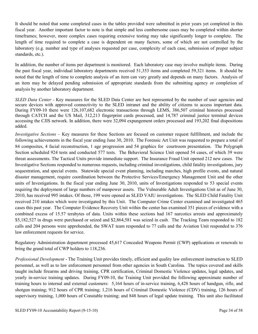It should be noted that some completed cases in the tables provided were submitted in prior years yet completed in this fiscal year. Another important factor to note is that simple and less cumbersome cases may be completed within shorter timeframes; however, more complex cases requiring extensive testing may take significantly longer to complete. The length of time required to complete a case is dependent on many factors, some of which are not controlled by the laboratory (e.g. number and type of analyses requested per case, complexity of each case, submission of proper subject standards, etc.).

In addition, the number of items per department is monitored. Each laboratory case may involve multiple items. During the past fiscal year, individual laboratory departments received 51,353 items and completed 59,321 items. It should be noted that the length of time to complete analysis of an item can vary greatly and depends on many factors. Analysis of an item may be delayed pending submission of appropriate standards from the submitting agency or completion of analysis by another laboratory department.

*SLED Data Center -* Key measures for the SLED Data Center are best represented by the number of user agencies and secure devices with approved connectivity to the SLED intranet and the ability of citizens to access important data. During FY09-10 there were 126,107,682 electronic transactions through LEMS, 386,507 criminal histories processed through CATCH and the US Mail, 312,213 fingerprint cards processed, and 14,787 criminal justice terminal devices accessing the CJIS network. In addition, there were 32,094 expungement orders processed and 193,202 final dispositions added.

*Investigative Sections* – Key measures for these Sections are focused on customer request fulfillment, and include the following achievements in the fiscal year ending June 30, 2010. The Forensic Art Unit was requested to prepare a total of 84 composites, 4 facial reconstruction, 1 age progression and 54 graphics for courtroom presentation. The Polygraph Section scheduled 924 tests and conducted 577 tests. The Behavioral Science Unit opened 54 cases, of which 39 were threat assessments. The Tactical Units provide immediate support. The Insurance Fraud Unit opened 212 new cases. The Investigative Sections responded to numerous requests, including criminal investigations, child fatality investigations, jury sequestration, and special events. Statewide special event planning, including marches, high profile events, and natural disaster management, require coordination between the Protective Services/Emergency Management Unit and the other units of Investigations. In the fiscal year ending June 30, 2010, units of Investigations responded to 53 special events requiring the deployment of large numbers of manpower assets. The Vulnerable Adult Investigations Unit as of June 30, 2010, has received 995 intakes. Of those, 199 were opened as SLED VAIU investigations. The SLED Child Fatality Unit received 210 intakes which were investigated by this Unit. The Computer Crime Center examined and investigated 465 cases this past year. The Computer Evidence Recovery Unit within the center has examined 351 pieces of evidence with a combined excess of 15.57 terabytes of data. Units within these sections had 167 narcotics arrests and approximately \$5,182,527 in drugs were purchased or seized and \$2,864,581 was seized in cash. The Tracking Team responded to 182 calls and 204 persons were apprehended, the SWAT team responded to 77 calls and the Aviation Unit responded to 376 law enforcement requests for service.

Regulatory Administration department processed 45,617 Concealed Weapons Permit (CWP) applications or renewals to bring the grand total of CWP holders to 118,236.

*Professional Development* - The Training Unit provides timely, efficient and quality law enforcement instruction to SLED personnel, as well as to law enforcement personnel from other agencies in South Carolina. The topics covered and skills taught include firearms and driving training, CPR certification, Criminal Domestic Violence updates, legal updates, and yearly in-service training updates. During FY09-10, the Training Unit provided the following approximate number of training hours to internal and external customers: 5,164 hours of in-service training, 6,428 hours of handgun, rifle, and shotgun training; 912 hours of CPR training; 1,216 hours of Criminal Domestic Violence (CDV) training, 126 hours of supervisory training, 1,000 hours of Constable training; and 848 hours of legal update training. This unit also facilitated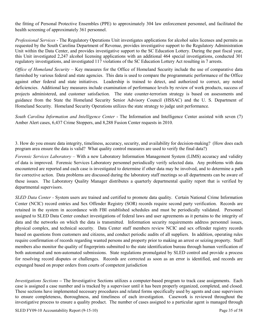the fitting of Personal Protective Ensembles (PPE) to approximately 304 law enforcement personnel, and facilitated the health screening of approximately 361 personnel.

*Professional Services* - The Regulatory Operations Unit investigates applications for alcohol sales licenses and permits as requested by the South Carolina Department of Revenue, provides investigative support to the Regulatory Administration Unit within the Data Center, and provides investigative support to the SC Education Lottery. During the past fiscal year, this Unit investigated 2,247 alcohol licensing applications with an additional 464 special investigations, conducted 301 regulatory investigations, and investigated 117 violations of the SC Education Lottery Act resulting in 7 arrests.

*Office of Homeland Security* – Key measures for the Office of Homeland Security include the use of comparative data furnished by various federal and state agencies. This data is used to compare the programmatic performance of the Office against other federal and state initiatives. Leadership is trained to detect, and authorized to correct, any noted deficiencies. Additional key measures include examination of performance levels by review of work products, success of projects administered, and customer satisfaction. The state counter-terrorism strategy is based on assessments and guidance from the State the Homeland Security Senior Advisory Council (HSSAC) and the U. S. Department of Homeland Security. Homeland Security Operations utilizes the state strategy to judge unit performance.

*South Carolina Information and Intelligence Center* - The Information and Intelligence Center assisted with seven (7) Amber Alert cases, 6,437 Crime Stoppers, and 8,288 Fusion Center requests in 2010.

3. How do you ensure data integrity, timeliness, accuracy, security, and availability for decision-making? (How does each program area ensure the data is valid? What quality control measures are used to verify the final data?)

*Forensic Services Laboratory –* With a new Laboratory Information Management System (LIMS) accuracy and validity of data is improved. Forensic Services Laboratory personnel periodically verify selected data. Any problems with data encountered are reported and each case is investigated to determine if other data may be involved, and to determine a path for corrective action. Data problems are discussed during the laboratory staff meetings so all departments can be aware of these issues. The Laboratory Quality Manager distributes a quarterly departmental quality report that is verified by departmental supervisors.

*SLED Data Center -* System users are trained and certified to promote data quality. Certain National Crime Information Center (NCIC) record entries and Sex Offender Registry (SOR) records require second party verification. Records are retained in the system in accordance with FBI established schedules and must be periodically validated. Personnel assigned to SLED Data Center conduct investigations of federal laws and user agreements as it pertains to the integrity of data and the networks on which the data is transmitted. Information security requirements address personnel issues, physical complex, and technical security. Data Center staff members review NCIC and sex offender registry records based on questions from customers and citizens, and conduct periodic audits of all suppliers. In addition, operating rules require confirmation of records regarding wanted persons and property prior to making an arrest or seizing property. Staff members also monitor the quality of fingerprints submitted to the state identification bureau through human verification of both automated and non-automated submissions. State regulations promulgated by SLED control and provide a process for resolving record disputes or challenges. Records are corrected as soon as an error is identified, and records are expunged based on proper orders from courts of competent jurisdiction

*Investigations Sections* **–** The Investigative Sections utilizes a computer-based program to track case assignments. Each case is assigned a case number and is tracked by a supervisor until it has been properly organized, completed, and closed. These sections have implemented necessary procedures and related forms specifically used by agents and case supervisors to ensure completeness, thoroughness, and timeliness of each investigation. Casework is reviewed throughout the investigative process to ensure a quality product. The number of cases assigned to a particular agent is managed through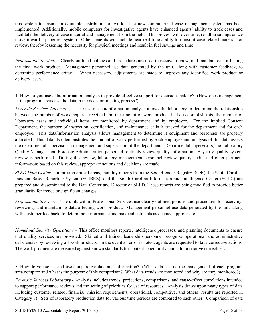this system to ensure an equitable distribution of work. The new computerized case management system has been implemented. Additionally, mobile computers for investigative agents have enhanced agents' ability to track cases and facilitate the delivery of case material and management from the field. This process will over time, result in savings as we move toward a paperless system. Other benefits will include near real time ability to transmit case related material for review, thereby lessening the necessity for physical meetings and result in fuel savings and time.

*Professional Services –* Clearly outlined policies and procedures are used to receive, review, and maintain data affecting the final work product. Management personnel use data generated by the unit, along with customer feedback, to determine performance criteria. When necessary, adjustments are made to improve any identified work product or delivery issue.

4. How do you use data/information analysis to provide effective support for decision-making? (How does management in the program areas use the data in the decision-making process?)

*Forensic Services Laboratory –* The use of data/information analysis allows the laboratory to determine the relationship between the number of work requests received and the amount of work produced. To accomplish this, the number of laboratory cases and individual items are monitored by department and by employee. For the Implied Consent Department, the number of inspection, certification, and maintenance calls is tracked for the department and for each employee. This data/information analysis allows management to determine if equipment and personnel are properly allocated. This data also demonstrates the amount of work performed by each employee and analysis of this data assists the departmental supervisor in management and supervision of the department. Departmental supervisors, the Laboratory Quality Manager, and Forensic Administration personnel routinely review quality information. A yearly quality system review is performed. During this review, laboratory management personnel review quality audits and other pertinent information; based on this review, appropriate actions and decisions are made.

*SLED Data Center –* In mission critical areas, monthly reports from the Sex Offender Registry (SOR), the South Carolina Incident Based Reporting System (SCIBRS), and the South Carolina Information and Intelligence Center (SCIIC) are prepared and disseminated to the Data Center and Director of SLED. These reports are being modified to provide better granularity for trends or significant changes.

*Professional Services –* The units within Professional Services use clearly outlined policies and procedures for receiving, reviewing, and maintaining data affecting work product. Management personnel use data generated by the unit, along with customer feedback, to determine performance and make adjustments as deemed appropriate.

*Homeland Security Operations* – This office monitors reports, intelligence processes, and planning documents to ensure that quality services are provided. Skilled and trained leadership personnel recognize operational and administrative deficiencies by reviewing all work products. In the event an error is noted, agents are requested to take corrective actions. The work products are measured against known standards for content, operability, and administrative correctness.

5. How do you select and use comparative data and information? (What data sets do the management of each program area compare and what is the purpose of this comparison? What data trends are monitored and why are they monitored?)

*Forensic Services Laboratory -* Analysis includes trends, projections, comparisons, and cause-effect correlations intended to support performance reviews and the setting of priorities for use of resources. Analysis draws upon many types of data including customer related, financial, mission requirements, operational, competitive, and others (results are reported in Category 7). Sets of laboratory production data for various time periods are compared to each other. Comparison of data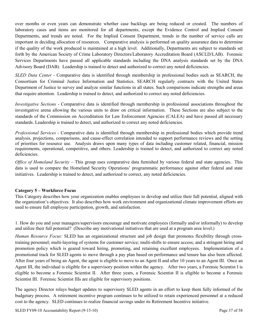over months or even years can demonstrate whether case backlogs are being reduced or created. The numbers of laboratory cases and items are monitored for all departments, except the Evidence Control and Implied Consent Departments, and trends are noted. For the Implied Consent Department, trends in the number of service calls are important in deciding allocation of resources. Comparative analysis is performed on quality assurance data to determine if the quality of the work produced is maintained at a high level. Additionally, Departments are subject to standards set forth by the American Society of Crime Laboratory Directors/Laboratory Accreditation Board (ASCLD/LAB). Forensic Services Departments have passed all applicable standards including the DNA analysis standards set by the DNA Advisory Board (DAB). Leadership is trained to detect and authorized to correct any noted deficiencies.

*SLED Data Center -* Comparative data is identified through membership in professional bodies such as SEARCH, the Consortium for Criminal Justice Information and Statistics. SEARCH regularly contracts with the United States Department of Justice to survey and analyze similar functions in all states. Such comparisons indicate strengths and areas that require attention. Leadership is trained to detect, and authorized to correct any noted deficiencies.

*Investigative Sections* - Comparative data is identified through membership in professional associations throughout the investigative arena allowing the various units to draw on critical information. These Sections are also subject to the standards of the Commission on Accreditation for Law Enforcement Agencies (CALEA) and have passed all necessary standards. Leadership is trained to detect, and authorized to correct any noted deficiencies.

*Professional Services -* Comparative data is identified through membership in professional bodies which provide trend analysis, projections, comparisons, and cause-effect correlation intended to support performance reviews and the setting of priorities for resource use. Analysis draws upon many types of data including customer related, financial, mission requirements, operational, competitive, and others. Leadership is trained to detect, and authorized to correct any noted deficiencies.

*Office of Homeland Security* – This group uses comparative data furnished by various federal and state agencies. This data is used to compare the Homeland Security Operations' programmatic performance against other federal and state initiatives. Leadership is trained to detect, and authorized to correct, any noted deficiencies.

#### **Category 5 – Workforce Focus**

This Category describes how your organization enables employees to develop and utilize their full potential, aligned with the organization's objectives. It also describes how work environment and organizational climate improvement efforts are used to ensure full employee participation, growth, and satisfaction.

1. How do you and your managers/supervisors encourage and motivate employees (formally and/or informally) to develop and utilize their full potential? (Describe any motivational initiatives that are used at a program area level.)

*Human Resource Focus:* SLED has an organizational structure and job design that promotes flexibility through crosstraining personnel; multi-layering of systems for customer service; multi-shifts to ensure access; and a stringent hiring and promotion policy which is geared toward hiring, promoting, and retaining excellent employees. Implementation of a promotional track for SLED agents to move through a pay plan based on performance and tenure has also been affected. After four years of being an Agent, the agent is eligible to move to an Agent II and after 10 years to an Agent III. Once an Agent III, the individual is eligible for a supervisory position within the agency. After two years, a Forensic Scientist I is eligible to become a Forensic Scientist II. After three years, a Forensic Scientist II is eligible to become a Forensic Scientist III. Forensic Scientist IIIs are eligible for supervisory positions.

The agency Director relays budget updates to supervisory SLED agents in an effort to keep them fully informed of the budgetary process. A retirement incentive program continues to be utilized to retain experienced personnel at a reduced cost to the agency. SLED continues to realize financial savings under its Retirement Incentive initiative.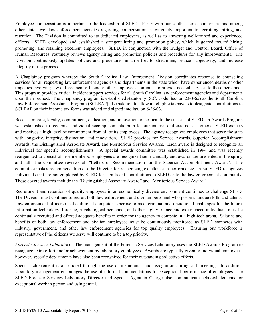Employee compensation is important to the leadership of SLED. Parity with our southeastern counterparts and among other state level law enforcement agencies regarding compensation is extremely important to recruiting, hiring, and retention. The Division is committed to its dedicated employees, as well as to attracting well-trained and experienced officers. SLED developed and established a stringent hiring and promotion policy, which is geared toward hiring, promoting, and retaining excellent employees. SLED, in conjunction with the Budget and Control Board, Office of Human Resources, routinely reviews agency hiring and promotion policies and procedures for any improvements. The Division continuously updates policies and procedures in an effort to streamline, reduce subjectivity, and increase integrity of the process.

A Chaplaincy program whereby the South Carolina Law Enforcement Division coordinates response to counseling services for all requesting law enforcement agencies and departments in the state which have experienced deaths or other tragedies involving law enforcement officers or other employees continues to provide needed services to these personnel. This program provides critical incident support services for all South Carolina law enforcement agencies and departments upon their request. The Chaplaincy program is established statutorily (S.C. Code Section 23-3-65) as the South Carolina Law Enforcement Assistance Program (SCLEAP). Legislation to allow all eligible taxpayers to designate contributions to SCLEAP on their income tax forms was added and signed into law on 6-26-03.

Because morale, loyalty, commitment, dedication, and innovation are critical to the success of SLED, an Awards Program was established to recognize individual accomplishments, both for our internal and external customers. SLED expects and receives a high level of commitment from all of its employees. The agency recognizes employees that serve the state with longevity, integrity, distinction, and innovation. SLED provides for Service Awards, Superior Accomplishment Awards, the Distinguished Associate Award, and Meritorious Service Awards. Each award is designed to recognize an individual for specific accomplishments. A special awards committee was established in 1994 and was recently reorganized to consist of five members. Employees are recognized semi-annually and awards are presented in the spring and fall. The committee reviews all "Letters of Recommendation for the Superior Accomplishment Award". The committee makes recommendations to the Director for recognizing excellence in performance. Also, SLED recognizes individuals that are not employed by SLED for significant contributions to SLED or to the law enforcement community. These coveted awards include the "Distinguished Associate Award" and "Meritorious Service Award".

Recruitment and retention of quality employees in an economically diverse environment continues to challenge SLED. The Division must continue to recruit both law enforcement and civilian personnel who possess unique skills and talents. Law enforcement officers need additional computer expertise to meet criminal and operational challenges for the future. Information technology, forensic, psychological personnel, and other highly trained and experienced individuals must be continually recruited and offered adequate benefits in order for the agency to compete in a high-tech arena. Salaries and benefits of both law enforcement and civilian employees must be continuously monitored as SLED competes with industry, government, and other law enforcement agencies for top quality employees. Ensuring our workforce is representative of the citizens we serve will continue to be a top priority.

*Forensic Services Laboratory -* The management of the Forensic Services Laboratory uses the SLED Awards Program to recognize extra effort and/or achievement by laboratory employees. Awards are typically given to individual employees; however, specific departments have also been recognized for their outstanding collective efforts.

Special achievement is also noted through the use of memoranda and recognition during staff meetings. In addition, laboratory management encourages the use of informal commendations for exceptional performance of employees. The SLED Forensic Services Laboratory Director and Special Agent in Charge also communicate acknowledgments for exceptional work in person and using email.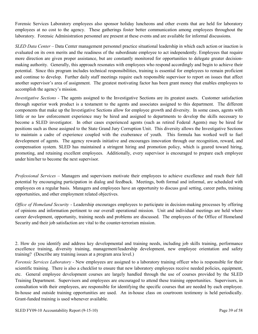Forensic Services Laboratory employees also sponsor holiday luncheons and other events that are held for laboratory employees at no cost to the agency. These gatherings foster better communication among employees throughout the laboratory. Forensic Administration personnel are present at these events and are available for informal discussions.

*SLED Data Center –* Data Center management personnel practice situational leadership in which each action or inaction is evaluated on its own merits and the readiness of the subordinate employee to act independently. Employees that require more direction are given proper assistance, but are constantly monitored for opportunities to delegate greater decisionmaking authority. Generally, this approach resonates with employees who respond accordingly and begin to achieve their potential. Since this program includes technical responsibilities, training is essential for employees to remain proficient and continue to develop. Further daily staff meetings require each responsible supervisor to report on issues that affect another supervisor's area of assignment. The greatest motivating factor has been grant money that enables employees to accomplish the agency's mission.

*Investigative Sections -* The agents assigned to the Investigative Sections are its greatest assets. Customer satisfaction through superior work product is a testament to the agents and associates assigned to this department. The different components that make up the Investigative Sections allow for employee growth and diversity. In some cases, agents with little or no law enforcement experience may be hired and assigned to departments to develop the skills necessary to become a SLED investigator. In other cases experienced agents (such as retired Federal Agents) may be hired for positions such as those assigned to the State Grand Jury Corruption Unit. This diversity allows the Investigative Sections to maintain a cadre of experience coupled with the exuberance of youth. This formula has worked well to fuel development of agents. The agency rewards initiative and encourages innovation through our recognition, reward, and compensation system. SLED has maintained a stringent hiring and promotion policy, which is geared toward hiring, promoting, and retaining excellent employees. Additionally, every supervisor is encouraged to prepare each employee under him/her to become the next supervisor.

*Professional Services* – Managers and supervisors motivate their employees to achieve excellence and reach their full potential by encouraging participation in dialog and feedback. Meetings, both formal and informal, are scheduled with employees on a regular basis. Managers and employees have an opportunity to discuss goal setting, career paths, training opportunities, and other employment related objectives.

*Office of Homeland Security* - Leadership encourages employees to participate in decision-making processes by offering of opinions and information pertinent to our overall operational mission. Unit and individual meetings are held where career development, opportunity, training needs and problems are discussed. The employees of the Office of Homeland Security and their job satisfaction are vital to the counter-terrorism mission.

2. How do you identify and address key developmental and training needs, including job skills training, performance excellence training, diversity training, management/leadership development, new employee orientation and safety training? (Describe any training issues at a program area level.)

*Forensic Services Laboratory -* New employees are assigned to a laboratory training officer who is responsible for their scientific training. There is also a checklist to ensure that new laboratory employees receive needed policies, equipment, etc. General employee development courses are largely handled through the use of courses provided by the SLED Training Department. Supervisors and employees are encouraged to attend these training opportunities. Supervisors, in consultation with their employees, are responsible for identifying the specific courses that are needed by each employee. In-house and outside training opportunities are used. An in-house class on courtroom testimony is held periodically. Grant-funded training is used whenever available.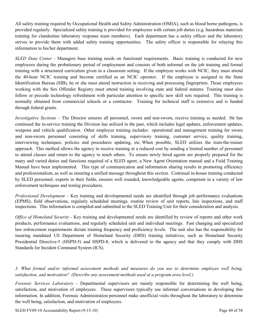All safety training required by Occupational Health and Safety Administration (OSHA), such as blood borne pathogens, is provided regularly. Specialized safety training is provided for employees with certain job duties (e.g. hazardous materials training for clandestine laboratory response team members). Each department has a safety officer and the laboratory strives to provide them with added safety training opportunities. The safety officer is responsible for relaying this information to his/her department.

*SLED Data Center -* Managers base training needs on functional requirements. Basic training is conducted for new employees during the probationary period of employment and consists of both informal on the job training and formal training with a structured curriculum given in a classroom setting. If the employee works with NCIC, they must attend the 40-hour NCIC training and become certified as an NCIC operator. If the employee is assigned to the State Identification Bureau (SIB), he or she must attend instruction in receiving and processing fingerprints. Those employees working with the Sex Offender Registry must attend training involving state and federal statutes. Training must also follow or precede technology refreshment with particular attention to specific new skill sets required. This training is normally obtained from commercial schools or a contractor. Training for technical staff is extensive and is funded through federal grants.

*Investigative Sections* – The Director ensures all personnel, sworn and non-sworn, receive training as needed. He has continued the in-service training the Division has utilized in the past, which includes legal updates, enforcement updates, weapons and vehicle qualification. Other employee training includes: operational and management training for sworn and non-sworn personnel consisting of skills training, supervisory training, customer service, quality training, interviewing techniques, policies and procedures updating, etc. When possible, SLED utilizes the train-the-trainer approach. This method allows the agency to receive training at a reduced cost by sending a limited number of personnel to attend classes and return to the agency to teach others. To ensure newly hired agents are properly prepared for the many and varied duties and functions required of a SLED agent, a New Agent Orientation manual and a Field Training Manual have been implemented. This type of communication and information sharing results in promoting efficiency and professionalism, as well as ensuring a unified message throughout this section. Continual in-house training conducted by SLED personnel, experts in their fields, ensures well rounded, knowledgeable agents, competent in a variety of law enforcement techniques and testing procedures.

*Professional Development –* Key training and developmental needs are identified through job performance evaluations (EPMS), field observations, regularly scheduled meetings, routine review of unit reports, line inspections, and staff inspections. This information is compiled and submitted to the SLED Training Unit for their consideration and analysis.

*Office of Homeland Security -* Key training and developmental needs are identified by review of reports and other work products, performance evaluations, and regularly scheduled unit and individual meetings. Fast changing and specialized law enforcement requirements dictate training frequency and proficiency levels. The unit also has the responsibility for insuring mandated US Department of Homeland Security (DHS) training initiatives, such as Homeland Security Presidential Directive-5 (HSPD-5) and HSPD-8, which is delivered to the agency and that they comply with DHS Standards for Incident Command System (ICS).

*3. What formal and/or informal assessment methods and measures do you use to determine employee well being, satisfaction, and motivation? (Describe any assessment methods used at a program area level.)*

*Forensic Services Laboratory -* Departmental supervisors are mainly responsible for determining the well being, satisfaction, and motivation of employees. These supervisors typically use informal conversations in developing this information. In addition, Forensic Administration personnel make unofficial visits throughout the laboratory to determine the well being, satisfaction, and motivation of employees.

SLED FY09-10 Accountability Report (9-15-10) Page 40 of 58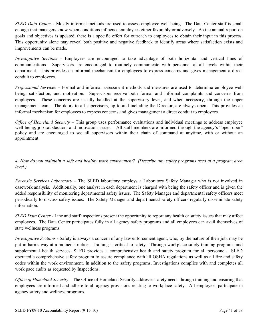*SLED Data Center -* Mostly informal methods are used to assess employee well being. The Data Center staff is small enough that managers know when conditions influence employees either favorably or adversely. As the annual report on goals and objectives is updated, there is a specific effort for outreach to employees to obtain their input in this process. This opportunity alone may reveal both positive and negative feedback to identify areas where satisfaction exists and improvements can be made.

*Investigative Sections* - Employees are encouraged to take advantage of both horizontal and vertical lines of communications. Supervisors are encouraged to routinely communicate with personnel at all levels within their department. This provides an informal mechanism for employees to express concerns and gives management a direct conduit to employees.

*Professional Services* – Formal and informal assessment methods and measures are used to determine employee well being, satisfaction, and motivation. Supervisors receive both formal and informal complaints and concerns from employees. These concerns are usually handled at the supervisory level, and when necessary, through the upper management team. The doors to all supervisors, up to and including the Director, are always open. This provides an informal mechanism for employees to express concerns and gives management a direct conduit to employees.

*Office of Homeland Security –* This group uses performance evaluations and individual meetings to address employee well being, job satisfaction, and motivation issues. All staff members are informed through the agency's "open door" policy and are encouraged to see all supervisors within their chain of command at anytime, with or without an appointment.

### *4. How do you maintain a safe and healthy work environment? (Describe any safety programs used at a program area level.)*

*Forensic Services Laboratory –* The SLED laboratory employs a Laboratory Safety Manager who is not involved in casework analysis. Additionally, one analyst in each department is charged with being the safety officer and is given the added responsibility of monitoring departmental safety issues. The Safety Manager and departmental safety officers meet periodically to discuss safety issues. The Safety Manager and departmental safety officers regularly disseminate safety information.

*SLED Data Center -* Line and staff inspections present the opportunity to report any health or safety issues that may affect employees. The Data Center participates fully in all agency safety programs and all employees can avail themselves of state wellness programs.

*Investigative Sections* - Safety is always a concern of any law enforcement agent, who, by the nature of their job, may be put in harms way at a moments notice. Training is critical to safety. Through workplace safety training programs and supplemental health services, SLED provides a comprehensive health and safety program for all personnel. SLED operated a comprehensive safety program to assure compliance with all OSHA regulations as well as all fire and safety codes within the work environment. In addition to the safety programs, Investigations complies with and completes all work pace audits as requested by Inspections.

*Office of Homeland Security* – The Office of Homeland Security addresses safety needs through training and ensuring that employees are informed and adhere to all agency provisions relating to workplace safety. All employees participate in agency safety and wellness programs.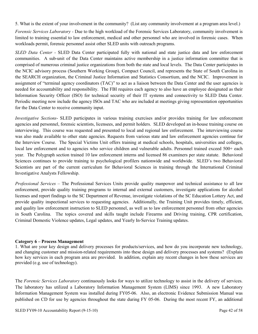5. What is the extent of your involvement in the community? (List any community involvement at a program area level.)

*Forensic Services Laboratory -* Due to the high workload of the Forensic Services Laboratory, community involvement is limited to training essential to law enforcement, medical and other personnel who are involved in forensic cases. When workloads permit, forensic personnel assist other SLED units with outreach programs.

*SLED Data Center -* SLED Data Center participated fully with national and state justice data and law enforcement communities. A sub-unit of the Data Center maintains active membership in a justice information committee that is comprised of numerous criminal justice organizations from both the state and local levels. The Data Center participates in the NCIC advisory process (Southern Working Group), Compact Council, and represents the State of South Carolina in the SEARCH organization, the Criminal Justice Information and Statistics Consortium, and the NCIC. Improvement in assignment of "terminal agency coordinators (TAC)" to act as a liaison between the Data Center and the user agencies is needed for accountability and responsibility. The FBI requires each agency to also have an employee designated as their Information Security Officer (ISO) for technical security of their IT systems and connectivity to SLED Data Center. Periodic meeting now include the agency ISOs and TAC who are included at meetings giving representation opportunities for the Data Center to receive community input.

*Investigative Sections*- SLED participates in various training exercises and/or provides training for law enforcement agencies and personnel, forensic scientists, licensees, and permit holders. SLED developed an in-house training course on interviewing. This course was requested and presented to local and regional law enforcement. The interviewing course was also made available to other state agencies. Requests from various state and law enforcement agencies continue for the Interview Course. The Special Victims Unit offers training at medical schools, hospitals, universities and colleges, local law enforcement and to agencies who service children and vulnerable adults. Personnel trained exceed 500+ each year. The Polygraph section trained 10 law enforcement interns and licensed 86 examiners per state statute. Behavioral Sciences continues to provide training to psychological profilers nationwide and worldwide. SLED's two Behavioral Scientists are part of the current curriculum for Behavioral Sciences in training through the International Criminal Investigative Analysts Fellowship.

*Professional Services* – The Professional Services Units provide quality manpower and technical assistance to all law enforcement, provide quality training programs to internal and external customers, investigate applications for alcohol licenses and report findings to the SC Department of Revenue, investigate violations of the SC Education Lottery Act, and provide quality inspectional services to requesting agencies. Additionally, the Training Unit provides timely, efficient, and quality law enforcement instruction to SLED personnel, as well as to law enforcement personnel from other agencies in South Carolina. The topics covered and skills taught include Firearms and Driving training, CPR certification, Criminal Domestic Violence updates, Legal updates, and Yearly In-Service Training updates.

#### **Category 6 – Process Management**

1. What are your key design and delivery processes for products/services, and how do you incorporate new technology, and changing customer and mission-related requirements into these design and delivery processes and systems? (Explain how key services in each program area are provided. In addition, explain any recent changes in how these services are provided (e.g. use of technology).

The *Forensic Services Laboratory* continuously looks for ways to utilize technology to assist in the delivery of services. The laboratory has utilized a Laboratory Information Management System (LIMS) since 1993. A new Laboratory Information Management System was installed during FY05-06. Also, an electronic Evidence Submission Manual was published on CD for use by agencies throughout the state during FY 05-06. During the most recent FY, an additional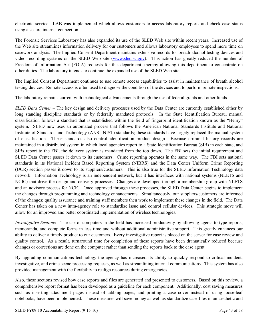electronic service, iLAB was implemented which allows customers to access laboratory reports and check case status using a secure internet connection.

The Forensic Services Laboratory has also expanded its use of the SLED Web site within recent years. Increased use of the Web site streamlines information delivery for our customers and allows laboratory employees to spend more time on casework analysis. The Implied Consent Department maintains extensive records for breath alcohol testing devices and video recording systems on the SLED Web site [\(www.sled.sc.gov\)](http://www.sled.sc.gov/). This action has greatly reduced the number of Freedom of Information Act (FOIA) requests for this department, thereby allowing this department to concentrate on other duties. The laboratory intends to continue the expanded use of the SLED Web site.

The Implied Consent Department continues to use remote access capabilities to assist in maintenance of breath alcohol testing devices. Remote access is often used to diagnose the condition of the devices and to perform remote inspections.

The laboratory remains current with technological advancements through the use of federal grants and other funds.

*SLED Data Center –* The key design and delivery processes used by the Data Center are currently established either by long standing discipline standards or by federally mandated protocols. In the State Identification Bureau, manual classification follows a standard that is established within the field of fingerprint identification known as the "Henry" system. SLED now uses an automated process that follows the American National Standards Institute and National Institute of Standards and Technology (ANSI\_NIST) standards; these standards have largely replaced the manual system of classification. These standards also control identification product design. Because criminal history records are maintained in a distributed system in which local agencies report to a State Identification Bureau (SIB) in each state, and SIBs report to the FBI, the delivery system is mandated from the top down. The FBI sets the initial requirement and SLED Data Center passes it down to its customers. Crime reporting operates in the same way. The FBI sets national standards in its National Incident Based Reporting System (NIBRS) and the Data Center Uniform Crime Reporting (UCR) section passes it down to its suppliers/customers. This is also true for the SLED Information Technology data network. Information Technology is an independent network, but it has interfaces with national systems (NLETS and NCIC) that drive the design and delivery processes. Changes are developed through a membership group with NLETS and an advisory process for NCIC. Once approved through these processes, the SLED Data Center begins to implement the changes through programming and technology enhancements. Simultaneously, our suppliers/customers are informed of the changes; quality assurance and training staff members then work to implement these changes in the field. The Data Center has taken on a new intra-agency role to standardize issue and control cellular devices. This strategic move will allow for an improved and better coordinated implementation of wireless technologies.

*Investigative Sections* - The use of computers in the field has increased productivity by allowing agents to type reports, memoranda, and complete forms in less time and without additional administrative support. This greatly enhances our ability to deliver a timely product to our customers. Every investigative report is placed on the server for case review and quality control. As a result, turnaround time for completion of these reports have been dramatically reduced because changes or corrections are done on the computer rather than sending the reports back to the case agent.

By upgrading communications technology the agency has increased its ability to quickly respond to critical incident, investigative, and crime scene processing requests, as well as streamlining internal communications. This system has also provided management with the flexibility to realign resources during emergencies.

Also, these sections revised how case reports and files are generated and presented to customers. Based on this review, a comprehensive report format has been developed as a guideline for each component. Additionally, cost saving measures such as inserting attachment pages instead of tabbing pages, and printing a case cover instead of using loose-leaf notebooks, have been implemented. These measures will save money as well as standardize case files in an aesthetic and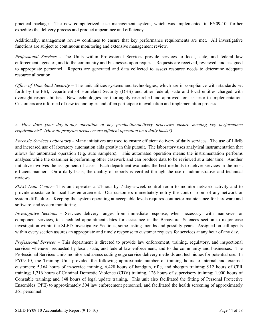practical package. The new computerized case management system, which was implemented in FY09-10, further expedites the delivery process and product appearance and efficiency.

Additionally, management review continues to ensure that key performance requirements are met. All investigative functions are subject to continuous monitoring and extensive management review.

*Professional Services* **-** The Units within Professional Services provide services to local, state, and federal law enforcement agencies, and to the community and businesses upon request. Requests are received, reviewed, and assigned to appropriate personnel. Reports are generated and data collected to assess resource needs to determine adequate resource allocation.

*Office of Homeland Security* – The unit utilizes systems and technologies, which are in compliance with standards set forth by the FBI, Department of Homeland Security (DHS) and other federal, state and local entities charged with oversight responsibilities. New technologies are thoroughly researched and approved for use prior to implementation. Customers are informed of new technologies and often participate in evaluation and implementation process.

*2. How does your day-to-day operation of key production/delivery processes ensure meeting key performance requirements? (How do program areas ensure efficient operation on a daily basis?)*

*Forensic Services Laboratory -* Many initiatives are used to ensure efficient delivery of daily services. The use of LIMS and increased use of laboratory automation aids greatly in this pursuit. The laboratory uses analytical instrumentation that allows for automated operation (e.g. auto samplers). This automated operation means the instrumentation performs analyses while the examiner is performing other casework and can produce data to be reviewed at a later time. Another initiative involves the assignment of cases. Each department evaluates the best methods to deliver services in the most efficient manner. On a daily basis, the quality of reports is verified through the use of administrative and technical reviews.

*SLED Data Center–* This unit operates a 24-hour by 7-day-a-week control room to monitor network activity and to provide assistance to local law enforcement. Our customers immediately notify the control room of any network or system difficulties. Keeping the system operating at acceptable levels requires contractor maintenance for hardware and software, and system monitoring.

*Investigative Sections* – Services delivery ranges from immediate response, when necessary, with manpower or component services, to scheduled appointment dates for assistance in the Behavioral Sciences section to major case investigation within the SLED Investigative Sections, some lasting months and possibly years. Assigned on call agents within every section assures an appropriate and timely response to customer requests for services at any hour of any day.

*Professional Services* – This department is directed to provide law enforcement, training, regulatory, and inspectional services whenever requested by local, state, and federal law enforcement, and to the community and businesses. The Professional Services Units monitor and assess cutting edge service delivery methods and techniques for potential use. In FY09-10, the Training Unit provided the following approximate number of training hours to internal and external customers: 5,164 hours of in-service training, 6,428 hours of handgun, rifle, and shotgun training; 912 hours of CPR training; 1,216 hours of Criminal Domestic Violence (CDV) training, 126 hours of supervisory training; 1,000 hours of Constable training; and 848 hours of legal update training. This unit also facilitated the fitting of Personal Protective Ensembles (PPE) to approximately 304 law enforcement personnel, and facilitated the health screening of approximately 361 personnel.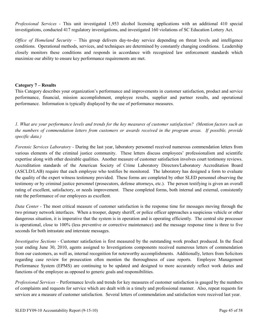*Professional Services* - This unit investigated 1,953 alcohol licensing applications with an additional 410 special investigations, conducted 417 regulatory investigations, and investigated 160 violations of SC Education Lottery Act.

*Office of Homeland Security –* This group delivers day-to-day service depending on threat levels and intelligence conditions. Operational methods, services, and techniques are determined by constantly changing conditions. Leadership closely monitors these conditions and responds in accordance with recognized law enforcement standards which maximize our ability to ensure key performance requirements are met.

#### **Category 7 – Results**

This Category describes your organization's performance and improvements in customer satisfaction, product and service performance, financial, mission accomplishment, employee results, supplier and partner results, and operational performance. Information is typically displayed by the use of performance measures.

*1. What are your performance levels and trends for the key measures of customer satisfaction? (Mention factors such as the numbers of commendation letters from customers or awards received in the program areas. If possible, provide specific data.)*

*Forensic Services Laboratory -* During the last year, laboratory personnel received numerous commendation letters from various elements of the criminal justice community. These letters discuss employees' professionalism and scientific expertise along with other desirable qualities. Another measure of customer satisfaction involves court testimony reviews. Accreditation standards of the American Society of Crime Laboratory Directors/Laboratory Accreditation Board (ASCLD/LAB) require that each employee who testifies be monitored. The laboratory has designed a form to evaluate the quality of the expert witness testimony provided. These forms are completed by other SLED personnel observing the testimony or by criminal justice personnel (prosecutors, defense attorneys, etc.). The person testifying is given an overall rating of excellent, satisfactory, or needs improvement. These completed forms, both internal and external, consistently rate the performance of our employees as excellent.

*Data Center -* The most critical measure of customer satisfaction is the response time for messages moving through the two primary network interfaces. When a trooper, deputy sheriff, or police officer approaches a suspicious vehicle or other dangerous situation, it is imperative that the system is in operation and is operating efficiently. The central site processor is operational, close to 100% (less preventive or corrective maintenance) and the message response time is three to five seconds for both intrastate and interstate messages.

*Investigative Sections* - Customer satisfaction is first measured by the outstanding work product produced. In the fiscal year ending June 30, 2010, agents assigned to Investigations components received numerous letters of commendation from our customers, as well as, internal recognition for noteworthy accomplishments. Additionally, letters from Solicitors regarding case review for prosecution often mention the thoroughness of case reports. Employee Management Performance System (EPMS) are continuing to be updated and designed to more accurately reflect work duties and functions of the employee as opposed to generic goals and responsibilities.

*Professional Services* – Performance levels and trends for key measures of customer satisfaction is gauged by the numbers of complaints and requests for service which are dealt with in a timely and professional manner. Also, repeat requests for services are a measure of customer satisfaction. Several letters of commendation and satisfaction were received last year.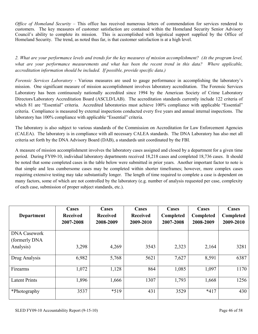*Office of Homeland Security* – This office has received numerous letters of commendation for services rendered to customers. The key measures of customer satisfaction are contained within the Homeland Security Senior Advisory Council's ability to complete its mission. This is accomplished with logistical support supplied by the Office of Homeland Security. The trend, as noted thus far, is that customer satisfaction is at a high level.

*2. What are your performance levels and trends for the key measures of mission accomplishment? (At the program level, what are your performance measurements and what has been the recent trend in this data? Where applicable, accreditation information should be included. If possible, provide specific data.)*

*Forensic Services Laboratory* - Various measures are used to gauge performance in accomplishing the laboratory's mission. One significant measure of mission accomplishment involves laboratory accreditation. The Forensic Services Laboratory has been continuously nationally accredited since 1994 by the American Society of Crime Laboratory Directors/Laboratory Accreditation Board (ASCLD/LAB). The accreditation standards currently include 122 criteria of which 81 are "Essential" criteria. Accredited laboratories must achieve 100% compliance with applicable "Essential" criteria. Compliance is measured by external inspections conducted every five years and annual internal inspections. The laboratory has 100% compliance with applicable "Essential" criteria.

The laboratory is also subject to various standards of the Commission on Accreditation for Law Enforcement Agencies (CALEA). The laboratory is in compliance with all necessary CALEA standards. The DNA Laboratory has also met all criteria set forth by the DNA Advisory Board (DAB), a standards unit coordinated by the FBI.

A measure of mission accomplishment involves the laboratory cases assigned and closed by a department for a given time period. During FY09-10, individual laboratory departments received 18,218 cases and completed 18,736 cases. It should be noted that some completed cases in the table below were submitted in prior years. Another important factor to note is that simple and less cumbersome cases may be completed within shorter timeframes; however, more complex cases requiring extensive testing may take substantially longer. The length of time required to complete a case is dependent on many factors, some of which are not controlled by the laboratory (e.g. number of analysis requested per case, complexity of each case, submission of proper subject standards, etc.).

| <b>Department</b>    | Cases<br><b>Received</b><br>2007-2008 | Cases<br><b>Received</b><br>2008-2009 | Cases<br><b>Received</b><br>2009-2010 | Cases<br>Completed<br>2007-2008 | Cases<br>Completed<br>2008-2009 | Cases<br>Completed<br>2009-2010 |
|----------------------|---------------------------------------|---------------------------------------|---------------------------------------|---------------------------------|---------------------------------|---------------------------------|
| <b>DNA Casework</b>  |                                       |                                       |                                       |                                 |                                 |                                 |
| (formerly DNA)       |                                       |                                       |                                       |                                 |                                 |                                 |
| Analysis)            | 3,298                                 | 4,269                                 | 3543                                  | 2,323                           | 2,164                           | 3281                            |
| Drug Analysis        | 6,982                                 | 5,768                                 | 5621                                  | 7,627                           | 8,591                           | 6387                            |
| Firearms             | 1,072                                 | 1,128                                 | 864                                   | 1,085                           | 1,097                           | 1170                            |
| <b>Latent Prints</b> | 1,896                                 | 1,666                                 | 1307                                  | 1,793                           | 1,668                           | 1256                            |
| *Photography         | 3537                                  | $*519$                                | 431                                   | 3529                            | $*417$                          | 430                             |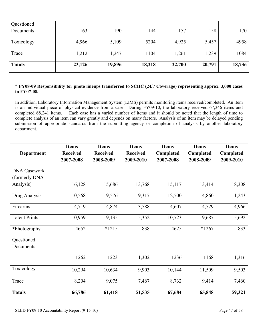| Questioned    |        |        |        |        |        |        |
|---------------|--------|--------|--------|--------|--------|--------|
| Documents     | 163    | 190    | 144    | 157    | 158    | 170    |
|               |        |        |        |        |        |        |
| Toxicology    | 4,966  | 5,109  | 5204   | 4,925  | 5,457  | 4958   |
|               |        |        |        |        |        |        |
| Trace         | 1,212  | 1,247  | 1104   | 1,261  | 1,239  | 1084   |
|               |        |        |        |        |        |        |
| <b>Totals</b> | 23,126 | 19,896 | 18,218 | 22,700 | 20,791 | 18,736 |
|               |        |        |        |        |        |        |

#### **\* FY08-09 Responsibility for photo lineups transferred to SCIIC (24/7 Coverage) representing approx. 3,000 cases in FY07-08.**

In addition, Laboratory Information Management System (LIMS) permits monitoring items received/completed. An item is an individual piece of physical evidence from a case. During FY09-10, the laboratory received 67,346 items and completed 68,241 items. Each case has a varied number of items and it should be noted that the length of time to complete analysis of an item can vary greatly and depends on many factors. Analysis of an item may be delayed pending submission of appropriate standards from the submitting agency or completion of analysis by another laboratory department.

| Department           | <b>Items</b><br><b>Received</b><br>2007-2008 | <b>Items</b><br><b>Received</b><br>2008-2009 | <b>Items</b><br><b>Received</b><br>2009-2010 | <b>Items</b><br>Completed<br>2007-2008 | <b>Items</b><br>Completed<br>2008-2009 | <b>Items</b><br>Completed<br>2009-2010 |
|----------------------|----------------------------------------------|----------------------------------------------|----------------------------------------------|----------------------------------------|----------------------------------------|----------------------------------------|
| <b>DNA Casework</b>  |                                              |                                              |                                              |                                        |                                        |                                        |
| (formerly DNA        |                                              |                                              |                                              |                                        |                                        |                                        |
| Analysis)            | 16,128                                       | 15,686                                       | 13,768                                       | 15,117                                 | 13,414                                 | 18,308                                 |
| Drug Analysis        | 10,568                                       | 9,576                                        | 9,317                                        | 12,500                                 | 14,860                                 | 11,243                                 |
| Firearms             | 4,719                                        | 4,874                                        | 3,588                                        | 4,607                                  | 4,529                                  | 4,966                                  |
| <b>Latent Prints</b> | 10,959                                       | 9,135                                        | 5,352                                        | 10,723                                 | 9,687                                  | 5,692                                  |
| *Photography         | 4652                                         | $*1215$                                      | 838                                          | 4625                                   | $*1267$                                | 833                                    |
| Questioned           |                                              |                                              |                                              |                                        |                                        |                                        |
| Documents            |                                              |                                              |                                              |                                        |                                        |                                        |
|                      | 1262                                         | 1223                                         | 1,302                                        | 1236                                   | 1168                                   | 1,316                                  |
| Toxicology           | 10,294                                       | 10,634                                       | 9,903                                        | 10,144                                 | 11,509                                 | 9,503                                  |
| Trace                | 8,204                                        | 9,075                                        | 7,467                                        | 8,732                                  | 9,414                                  | 7,460                                  |
| <b>Totals</b>        | 66,786                                       | 61,418                                       | 51,535                                       | 67,684                                 | 65,848                                 | 59,321                                 |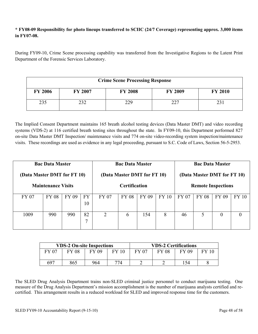#### **\* FY08-09 Responsibility for photo lineups transferred to SCIIC (24/7 Coverage) representing approx. 3,000 items in FY07-08.**

During FY09-10, Crime Scene processing capability was transferred from the Investigative Regions to the Latent Print Department of the Forensic Services Laboratory.

| <b>Crime Scene Processing Response</b> |                |                |                |                |  |  |  |  |
|----------------------------------------|----------------|----------------|----------------|----------------|--|--|--|--|
| <b>FY 2006</b>                         | <b>FY 2007</b> | <b>FY 2008</b> | <b>FY 2009</b> | <b>FY 2010</b> |  |  |  |  |
| 235                                    | າາາ            | 229            | າາາ            | 23             |  |  |  |  |

The Implied Consent Department maintains 165 breath alcohol testing devices (Data Master DMT) and video recording systems (VDS-2) at 116 certified breath testing sites throughout the state. In FY09-10, this Department performed 827 on-site Data Master DMT Inspection/ maintenance visits and 774 on-site video-recording system inspection/maintenance visits. These recordings are used as evidence in any legal proceeding, pursuant to S.C. Code of Laws, Section 56-5-2953.

| <b>Bac Data Master</b>      |                           |       |                 | <b>Bac Data Master</b>      |              |       | <b>Bac Data Master</b> |                           |                             |          |       |
|-----------------------------|---------------------------|-------|-----------------|-----------------------------|--------------|-------|------------------------|---------------------------|-----------------------------|----------|-------|
| (Data Master DMT for FT 10) |                           |       |                 | (Data Master DMT for FT 10) |              |       |                        |                           | (Data Master DMT for FT 10) |          |       |
|                             | <b>Maintenance Visits</b> |       |                 | <b>Certification</b>        |              |       |                        | <b>Remote Inspections</b> |                             |          |       |
| <b>FY 07</b>                | <b>FY 08</b>              | FY 09 | <b>FY</b><br>10 | FY 07                       | <b>FY 08</b> | FY 09 | <b>FY 10</b>           | <b>FY 07</b>              | <b>FY 08</b>                | FY 09    | FY 10 |
| 1009                        | 990                       | 990   | 82<br>⇁         | 2                           | 6            | 154   | 8                      | 46                        | 5                           | $\Omega$ |       |

| <b>VDS-2 On-site Inspections</b> |              |       |              |              | <b>VDS-2 Certifications</b> |       |  |
|----------------------------------|--------------|-------|--------------|--------------|-----------------------------|-------|--|
| FY 07                            | <b>FY 08</b> | FY 09 | <b>FY 10</b> | <b>FY 07</b> | <b>FY 08</b>                | FY 09 |  |
| 697                              | 865          | 964   | 774          |              |                             | 54    |  |

The SLED Drug Analysis Department trains non-SLED criminal justice personnel to conduct marijuana testing. One measure of the Drug Analysis Department's mission accomplishment is the number of marijuana analysts certified and recertified. This arrangement results in a reduced workload for SLED and improved response time for the customers.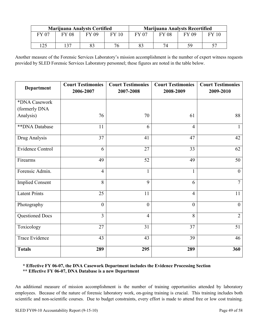| <b>Marijuana Analysts Certified</b> |       |       |    |       | <b>Marijuana Analysts Recertified</b> |       |  |
|-------------------------------------|-------|-------|----|-------|---------------------------------------|-------|--|
| FY 07                               | FY 08 | FY 09 |    | FY 07 | FY 08                                 | FY 09 |  |
| 25                                  | 27    |       | 76 |       | 74                                    | ٢q    |  |

Another measure of the Forensic Services Laboratory's mission accomplishment is the number of expert witness requests provided by SLED Forensic Services Laboratory personnel; these figures are noted in the table below.

| <b>Department</b>       | <b>Court Testimonies</b><br>2006-2007 | <b>Court Testimonies</b><br>2007-2008 | <b>Court Testimonies</b><br>2008-2009 | <b>Court Testimonies</b><br>2009-2010 |
|-------------------------|---------------------------------------|---------------------------------------|---------------------------------------|---------------------------------------|
| *DNA Casework           |                                       |                                       |                                       |                                       |
| (formerly DNA           |                                       |                                       |                                       |                                       |
| Analysis)               | 76                                    | 70                                    | 61                                    | 88                                    |
| ** DNA Database         | 11                                    | 6                                     | $\overline{4}$                        | 1                                     |
| Drug Analysis           | 37                                    | 41                                    | 47                                    | 42                                    |
| <b>Evidence Control</b> | 6                                     | 27                                    | 33                                    | 62                                    |
| Firearms                | 49                                    | 52                                    | 49                                    | 50                                    |
| Forensic Admin.         | $\overline{4}$                        | 1                                     | 1                                     | $\theta$                              |
| <b>Implied Consent</b>  | 8                                     | 9                                     | 6                                     | 7                                     |
| Latent Prints           | 25                                    | 11                                    | $\overline{4}$                        | 11                                    |
| Photography             | $\overline{0}$                        | $\overline{0}$                        | $\overline{0}$                        | $\overline{0}$                        |
| Questioned Docs         | $\overline{3}$                        | $\overline{4}$                        | 8                                     | $\overline{2}$                        |
| Toxicology              | 27                                    | 31                                    | 37                                    | 51                                    |
| Trace Evidence          | 43                                    | 43                                    | 39                                    | 46                                    |
| <b>Totals</b>           | 289                                   | 295                                   | 289                                   | 360                                   |

#### **\* Effective FY 06-07, the DNA Casework Department includes the Evidence Processing Section \*\* Effective FY 06-07, DNA Database is a new Department**

An additional measure of mission accomplishment is the number of training opportunities attended by laboratory employees. Because of the nature of forensic laboratory work, on-going training is crucial. This training includes both scientific and non-scientific courses. Due to budget constraints, every effort is made to attend free or low cost training.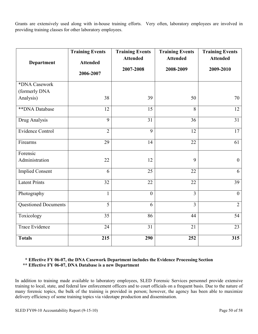Grants are extensively used along with in-house training efforts. Very often, laboratory employees are involved in providing training classes for other laboratory employees.

|                             | <b>Training Events</b> | <b>Training Events</b> | <b>Training Events</b> | <b>Training Events</b> |
|-----------------------------|------------------------|------------------------|------------------------|------------------------|
| <b>Department</b>           | <b>Attended</b>        | <b>Attended</b>        | <b>Attended</b>        | <b>Attended</b>        |
|                             | 2006-2007              | 2007-2008              | 2008-2009              | 2009-2010              |
| *DNA Casework               |                        |                        |                        |                        |
| (formerly DNA               |                        |                        |                        |                        |
| Analysis)                   | 38                     | 39                     | 50                     | 70                     |
| ** DNA Database             | 12                     | 15                     | $\overline{8}$         | 12                     |
| Drug Analysis               | 9                      | 31                     | 36                     | 31                     |
| Evidence Control            | $\overline{2}$         | $\overline{9}$         | $\overline{12}$        | $\overline{17}$        |
| Firearms                    | 29                     | 14                     | 22                     | 61                     |
| Forensic                    |                        |                        |                        |                        |
| Administration              | 22                     | 12                     | 9                      | $\boldsymbol{0}$       |
| <b>Implied Consent</b>      | 6                      | 25                     | 22                     | 6                      |
| <b>Latent Prints</b>        | 32                     | 22                     | 22                     | 39                     |
| Photography                 | $\mathbf{1}$           | $\mathbf{0}$           | $\overline{3}$         | $\overline{0}$         |
| <b>Questioned Documents</b> | $\overline{5}$         | 6                      | $\overline{3}$         | $\overline{2}$         |
| Toxicology                  | 35                     | 86                     | 44                     | $\overline{54}$        |
| Trace Evidence              | 24                     | $\overline{31}$        | 21                     | 23                     |
| <b>Totals</b>               | 215                    | 290                    | 252                    | 315                    |

 **\* Effective FY 06-07, the DNA Casework Department includes the Evidence Processing Section**

**\*\* Effective FY 06-07, DNA Database is a new Department**

In addition to training made available to laboratory employees, SLED Forensic Services personnel provide extensive training to local, state, and federal law enforcement officers and to court officials on a frequent basis. Due to the nature of many forensic topics, the bulk of the training is provided in person; however, the agency has been able to maximize delivery efficiency of some training topics via videotape production and dissemination.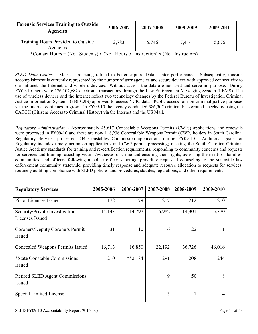| <b>Forensic Services Training to Outside</b><br><b>Agencies</b> | 2006-2007 | 2007-2008 | 2008-2009 | 2009-2010 |
|-----------------------------------------------------------------|-----------|-----------|-----------|-----------|
| Training Hours Provided to Outside<br>Agencies                  | 2,783     | 5,746     | 7.414     | 5,675     |

\*Contact Hours = (No. Students) x (No. Hours of Instruction) x (No. Instructors)

*SLED Data Center –* Metrics are being refined to better capture Data Center performance. Subsequently, mission accomplishment is currently represented by the number of user agencies and secure devices with approved connectivity to our Intranet, the Internet, and wireless devices. Without access, the data are not used and serve no purpose. During FY09-10 there were 126,107,682 electronic transactions through the Law Enforcement Messaging System (LEMS). The use of wireless devices and the Internet reflect two technology changes by the Federal Bureau of Investigation Criminal Justice Information Systems (FBI-CJIS) approved to access NCIC data. Public access for non-criminal justice purposes via the Internet continues to grow. In FY09-10 the agency conducted 386,507 criminal background checks by using the CATCH (Citizens Access to Criminal History) via the Internet and the US Mail.

*Regulatory Administration* - Approximately 45,617 Concealable Weapons Permits (CWPs) applications and renewals were processed in FY09-10 and there are now 118,236 Concealable Weapons Permit (CWP) holders in South Carolina. Regulatory Services processed 244 Constables Commission applications during FY09-10. Additional goals for Regulatory includes timely action on applications and CWP permit processing; meeting the South Carolina Criminal Justice Academy standards for training and re-certification requirements; responding to community concerns and requests for services and training; assisting victims/witnesses of crime and ensuring their rights; assessing the needs of families, communities, and officers following a police officer shooting; providing requested counseling to the statewide law enforcement community statewide; providing timely response and adequate resource allocation to requests for services; routinely auditing compliance with SLED policies and procedures, statutes, regulations; and other requirements.

| <b>Regulatory Services</b>                        | 2005-2006 | 2006-2007 | 2007-2008 | 2008-2009 | 2009-2010 |
|---------------------------------------------------|-----------|-----------|-----------|-----------|-----------|
| Pistol Licenses Issued                            | 172       | 179       | 217       | 212       | 210       |
| Security/Private Investigation<br>Licenses Issued | 14,143    | 14,797    | 16,982    | 14,301    | 15,370    |
| Coroners/Deputy Coroners Permit<br>Issued         | 31        | 10        | 16        | 22        | 11        |
| Concealed Weapons Permits Issued                  | 16,713    | 16,850    | 22,192    | 36,726    | 46,016    |
| *State Constable Commissions<br>Issued            | 210       | $**2,184$ | 291       | 208       | 244       |
| Retired SLED Agent Commissions<br>Issued          |           |           | 9         | 50        | 8         |
| Special Limited License                           |           |           | 3         |           | 4         |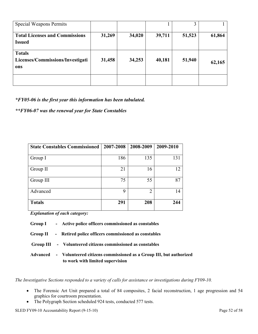| <b>Special Weapons Permits</b>        |        |        |        |        |        |
|---------------------------------------|--------|--------|--------|--------|--------|
| <b>Total Licenses and Commissions</b> | 31,269 | 34,020 | 39,711 | 51,523 | 61,864 |
| <b>Issued</b>                         |        |        |        |        |        |
| <b>Totals</b>                         |        |        |        |        |        |
| Licenses/Commissions/Investigati      | 31,458 | 34,253 | 40,181 | 51,940 | 62,165 |
| ons                                   |        |        |        |        |        |
|                                       |        |        |        |        |        |
|                                       |        |        |        |        |        |

*\*FY05-06 is the first year this information has been tabulated.*

*\*\*FY06-07 was the renewal year for State Constables*

| <b>State Constables Commissioned</b> | 2007-2008 | 2008-2009 | 2009-2010 |
|--------------------------------------|-----------|-----------|-----------|
|                                      |           |           |           |
| Group I                              | 186       | 135       | 131       |
|                                      |           |           |           |
| Group II                             | 21        | 16        | 12        |
|                                      |           |           |           |
| Group III                            | 75        | 55        | 87        |
|                                      |           |           |           |
| Advanced                             | 9         | 2         | 14        |
|                                      |           |           |           |
| <b>Totals</b>                        | 291       | 208       | 244       |
|                                      |           |           |           |

 *Explanation of each category:*

| Group I  | - Active police officers commissioned as constables                                                    |
|----------|--------------------------------------------------------------------------------------------------------|
| Group II | - Retired police officers commissioned as constables                                                   |
|          | Group III - Volunteered citizens commissioned as constables                                            |
| Advanced | - Volunteered citizens commissioned as a Group III, but authorized<br>to work with limited supervision |

*The Investigative Sections responded to a variety of calls for assistance or investigations during FY09-10.*

- The Forensic Art Unit prepared a total of 84 composites, 2 facial reconstruction, 1 age progression and 54 graphics for courtroom presentation.
- The Polygraph Section scheduled 924 tests, conducted 577 tests.

SLED FY09-10 Accountability Report (9-15-10) Page 52 of 58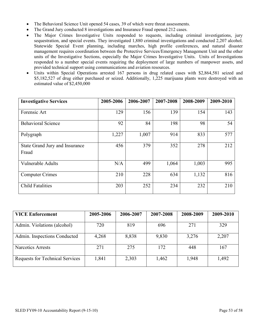- The Behavioral Science Unit opened 54 cases, 39 of which were threat assessments.
- The Grand Jury conducted 8 investigations and Insurance Fraud opened 212 cases.
- The Major Crimes Investigative Units responded to requests, including criminal investigations, jury sequestration, and special events. They investigated 1,880 criminal investigations and conducted 2,207 alcohol. Statewide Special Event planning, including marches, high profile conferences, and natural disaster management requires coordination between the Protective Services/Emergency Management Unit and the other units of the Investigative Sections, especially the Major Crimes Investigative Units. Units of Investigations responded to a number special events requiring the deployment of large numbers of manpower assets, and provided technical support using communications and aviation resources.
- Units within Special Operations arrested 167 persons in drug related cases with \$2,864,581 seized and \$5,182,527 of drug either purchased or seized. Additionally, 1,225 marijuana plants were destroyed with an estimated value of \$2,450,000

| <b>Investigative Services</b>           | 2005-2006 | 2006-2007 | 2007-2008 | 2008-2009 | 2009-2010 |
|-----------------------------------------|-----------|-----------|-----------|-----------|-----------|
| Forensic Art                            | 129       | 156       | 139       | 154       | 143       |
| <b>Behavioral Science</b>               | 92        | 84        | 198       | 98        | 54        |
| Polygraph                               | 1,227     | 1,007     | 914       | 833       | 577       |
| State Grand Jury and Insurance<br>Fraud | 456       | 379       | 352       | 278       | 212       |
| <b>Vulnerable Adults</b>                | N/A       | 499       | 1,064     | 1,003     | 995       |
| <b>Computer Crimes</b>                  | 210       | 228       | 634       | 1,132     | 816       |
| <b>Child Fatalities</b>                 | 203       | 252       | 234       | 232       | 210       |

| <b>VICE Enforcement</b>                | 2005-2006 | 2006-2007 | 2007-2008 | 2008-2009 | 2009-2010 |
|----------------------------------------|-----------|-----------|-----------|-----------|-----------|
| Admin. Violations (alcohol)            | 720       | 819       | 696       | 271       | 329       |
| Admin. Inspections Conducted           | 4,268     | 8,838     | 9,830     | 3,276     | 2,207     |
| <b>Narcotics Arrests</b>               | 271       | 275       | 172       | 448       | 167       |
| <b>Requests for Technical Services</b> | 1,841     | 2,303     | 1,462     | 1,948     | 1,492     |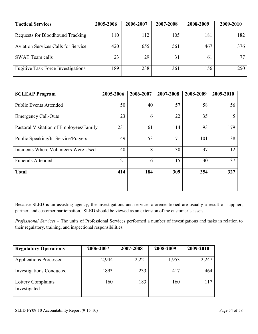| <b>Tactical Services</b>                   | 2005-2006 | 2006-2007 | 2007-2008 | 2008-2009 | 2009-2010 |
|--------------------------------------------|-----------|-----------|-----------|-----------|-----------|
|                                            |           |           |           |           |           |
| Requests for Bloodhound Tracking           | 110       | 112       | 105       | 181       | 182       |
| <b>Aviation Services Calls for Service</b> | 420       | 655       | 561       | 467       | 376       |
| <b>SWAT Team calls</b>                     | 23        | 29        | 31        | 6         | 77        |
| <b>Fugitive Task Force Investigations</b>  | 189       | 238       | 361       | 156       | 250       |

| <b>SCLEAP Program</b>                   | 2005-2006 | 2006-2007 | 2007-2008 | 2008-2009 | 2009-2010 |
|-----------------------------------------|-----------|-----------|-----------|-----------|-----------|
|                                         |           |           |           |           |           |
| <b>Public Events Attended</b>           | 50        | 40        | 57        | 58        | 56        |
| <b>Emergency Call-Outs</b>              | 23        | 6         | 22        | 35        | 5         |
|                                         |           |           |           |           |           |
| Pastoral Visitation of Employees/Family | 231       | 61        | 114       | 93        | 179       |
| Public Speaking/In-Service/Prayers      | 49        | 53        | 71        | 101       | 38        |
| Incidents Where Volunteers Were Used    | 40        | 18        | 30        | 37        | 12        |
| <b>Funerals Attended</b>                | 21        | 6         | 15        | 30        | 37        |
| <b>Total</b>                            | 414       | 184       | 309       | 354       | 327       |
|                                         |           |           |           |           |           |

Because SLED is an assisting agency, the investigations and services aforementioned are usually a result of supplier, partner, and customer participation. SLED should be viewed as an extension of the customer's assets.

*Professional Services* – The units of Professional Services performed a number of investigations and tasks in relation to their regulatory, training, and inspectional responsibilities.

| <b>Regulatory Operations</b>    | 2006-2007 | 2007-2008 | 2008-2009 | 2009-2010 |
|---------------------------------|-----------|-----------|-----------|-----------|
|                                 |           |           |           |           |
| <b>Applications Processed</b>   | 2,944     | 2,221     | 1,953     | 2,247     |
|                                 |           |           |           |           |
| <b>Investigations Conducted</b> | 189*      | 233       | 417       | 464       |
|                                 |           |           |           |           |
| Lottery Complaints              | 160       | 183       | 160       | 117       |
| Investigated                    |           |           |           |           |
|                                 |           |           |           |           |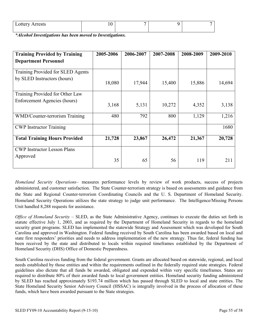| Lottery Arrests |  |  |
|-----------------|--|--|
|                 |  |  |

*\*Alcohol Investigations has been moved to Investigations.*

| <b>Training Provided by Training</b>                             | 2005-2006 | 2006-2007 | 2007-2008 | 2008-2009 | 2009-2010 |
|------------------------------------------------------------------|-----------|-----------|-----------|-----------|-----------|
| <b>Department Personnel</b>                                      |           |           |           |           |           |
| Training Provided for SLED Agents<br>by SLED Instructors (hours) | 18,080    | 17,944    | 15,400    | 15,886    | 14,694    |
|                                                                  |           |           |           |           |           |
| Training Provided for Other Law                                  |           |           |           |           |           |
| Enforcement Agencies (hours)                                     | 3,168     | 5,131     | 10,272    | 4,352     | 3,138     |
| WMD/Counter-terrorism Training                                   | 480       | 792       | 800       | 1,129     | 1,216     |
| <b>CWP</b> Instructor Training                                   |           |           |           |           | 1680      |
| <b>Total Training Hours Provided</b>                             | 21,728    | 23,867    | 26,472    | 21,367    | 20,728    |
| <b>CWP</b> Instructor Lesson Plans                               |           |           |           |           |           |
| Approved                                                         | 35        | 65        | 56        | 119       | 211       |

*Homeland Security Operations–* measures performance levels by review of work products, success of projects administered, and customer satisfaction. The State Counter-terrorism strategy is based on assessments and guidance from the State and Regional Counter-terrorism Coordinating Councils and the U. S. Department of Homeland Security. Homeland Security Operations utilizes the state strategy to judge unit performance. The Intelligence/Missing Persons Unit handled 8,288 requests for assistance.

*Office of Homeland Security –* SLED, as the State Administrative Agency, continues to execute the duties set forth in statute effective July 1, 2003, and as required by the Department of Homeland Security in regards to the homeland security grant programs. SLED has implemented the statewide Strategy and Assessment which was developed for South Carolina and approved in Washington. Federal funding received by South Carolina has been awarded based on local and state first responders' priorities and needs to address implementation of the new strategy. Thus far, federal funding has been received by the state and distributed to locals within required timeframes established by the Department of Homeland Security (DHS) Office of Domestic Preparedness.

South Carolina receives funding from the federal government. Grants are allocated based on statewide, regional, and local needs established by those entities and within the requirements outlined in the federally required state strategies. Federal guidelines also dictate that all funds be awarded, obligated and expended within very specific timeframes. States are required to distribute 80% of their awarded funds to local government entities. Homeland security funding administered by SLED has reached approximately \$193.74 million which has passed through SLED to local and state entities. The State Homeland Security Senior Advisory Council (HSSAC) is integrally involved in the process of allocation of these funds, which have been awarded pursuant to the State strategies.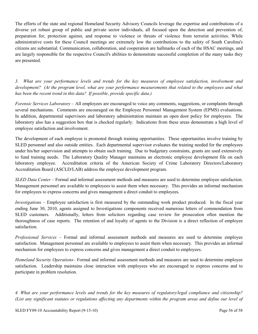The efforts of the state and regional Homeland Security Advisory Councils leverage the expertise and contributions of a diverse yet robust group of public and private sector individuals, all focused upon the detection and prevention of, preparation for, protection against, and response to violence or threats of violence from terrorist activities. While administrative costs for these Council meetings are extremely low the contributions to the safety of South Carolina's citizens are substantial. Communication, collaboration, and cooperation are hallmarks of each of the HSAC meetings, and are largely responsible for the respective Council's abilities to demonstrate successful completion of the many tasks they are presented.

*3. What are your performance levels and trends for the key measures of employee satisfaction, involvement and*  development? (At the program level, what are your performance measurements that related to the employees and what *has been the recent trend in this data? If possible, provide specific data.)*

*Forensic Services Laboratory –* All employees are encouraged to voice any comments, suggestions, or complaints through several mechanisms. Comments are encouraged on the Employee Personnel Management System (EPMS) evaluations. In addition, departmental supervisors and laboratory administration maintain an open door policy for employees. The laboratory also has a suggestion box that is checked regularly. Indications from these areas demonstrate a high level of employee satisfaction and involvement.

The development of each employee is promoted through training opportunities. These opportunities involve training by SLED personnel and also outside entities. Each departmental supervisor evaluates the training needed for the employees under his/her supervision and attempts to obtain such training. Due to budgetary constraints, grants are used extensively to fund training needs. The Laboratory Quality Manager maintains an electronic employee development file on each laboratory employee. Accreditation criteria of the American Society of Crime Laboratory Directors/Laboratory Accreditation Board (ASCLD/LAB) address the employee development program.

*SLED Data Center* – Formal and informal assessment methods and measures are used to determine employee satisfaction. Management personnel are available to employees to assist them when necessary. This provides an informal mechanism for employees to express concerns and gives management a direct conduit to employees.

*Investigations –* Employee satisfaction is first measured by the outstanding work product produced. In the fiscal year ending June 30, 2010, agents assigned to Investigations components received numerous letters of commendation from SLED customers. Additionally, letters from solicitors regarding case review for prosecution often mention the thoroughness of case reports. The retention of and loyalty of agents to the Division is a direct reflection of employee satisfaction.

*Professional Services* – Formal and informal assessment methods and measures are used to determine employee satisfaction. Management personnel are available to employees to assist them when necessary. This provides an informal mechanism for employees to express concerns and gives management a direct conduit to employees.

*Homeland Security Operations–* Formal and informal assessment methods and measures are used to determine employee satisfaction. Leadership maintains close interaction with employees who are encouraged to express concerns and to participate in problem resolution.

*4. What are your performance levels and trends for the key measures of regulatory/legal compliance and citizenship? (List any significant statutes or regulations affecting any departments within the program areas and define our level of*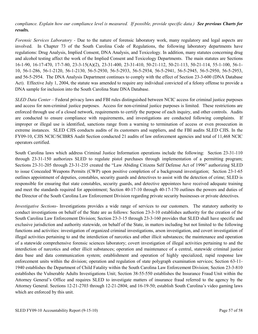#### *compliance. Explain how our compliance level is measured. If possible, provide specific data.) See previous Charts for results.*

*Forensic Services Laboratory -* Due to the nature of forensic laboratory work, many regulatory and legal aspects are involved. In Chapter 73 of the South Carolina Code of Regulations, the following laboratory departments have regulations: Drug Analysis, Implied Consent, DNA Analysis, and Toxicology. In addition, many statutes concerning drug and alcohol testing affect the work of the Implied Consent and Toxicology Departments. The main statutes are Sections 16-1-90, 16-17-470, 17-7-80, 23-3-15(A)(2), 23-31-400, 23-31-410, 50-21-112, 50-21-113, 50-21-114, 55-1-100, 56-1- 10, 56-1-286, 56-1-2120, 56-1-2130, 56-5-2930, 56-5-2933, 56-5-2934, 56-5-2941, 56-5-2945, 56-5-2950, 56-5-2953, and 56-5-2954. The DNA Analysis Department continues to comply with the effect of Section 23-3-600 (DNA Database Act). Effective July 1, 2004, the statute was amended to require any individual convicted of a felony offense to provide a DNA sample for inclusion into the South Carolina State DNA Database.

*SLED Data Center –* Federal privacy laws and FBI rules distinguished between NCIC access for criminal justice purposes and access for non-criminal justice purposes. Access for non-criminal justice purposes is limited. These restrictions are enforced through use of a closed network, requirements to certify the purpose of each inquiry, and other controls. Audits are conducted to ensure compliance with requirements, and investigations are conducted following complaints. If improper or illegal use is identified, sanctions range from a warning to termination of access or even prosecution in extreme instances. SLED CJIS conducts audits of its customers and suppliers, and the FBI audits SLED CJIS. In the FY09-10, CJIS NCIC/SCIBRS Audit Section conducted 21 audits of law enforcement agencies and total of 11,468 NCIC operators certified.

South Carolina laws which address Criminal Justice Information operations include the following: Section 23-31-110 through 23-31-150 authorizes SLED to regulate pistol purchases through implementation of a permitting program; Sections 23-31-205 through 23-31-235 created the "Law Abiding Citizens Self Defense Act of 1996" authorizing SLED to issue Concealed Weapons Permits (CWP) upon positive completion of a background investigation; Section 23-1-65 outlines appointment of deputies, constables, security guards and detectives to assist with the detection of crime; SLED is responsible for ensuring that state constables, security guards, and detective appointees have received adequate training and meet the standards required for appointment; Section 40-17-10 through 40-17-170 outlines the powers and duties of the Director of the South Carolina Law Enforcement Division regarding private security businesses or private detectives.

*Investigative Sections*- Investigations provides a wide range of services to our customers. The statutory authority to conduct investigations on behalf of the State are as follows: Section 23-3-10 establishes authority for the creation of the South Carolina Law Enforcement Division; Section 23-3-15 through 23-3-160 provides that SLED shall have specific and exclusive jurisdiction and authority statewide, on behalf of the State, in matters including but not limited to the following functions and activities: investigation of organized criminal investigations, arson investigation, and covert investigation of illegal activities pertaining to and the interdiction of narcotics and other illicit substances; the maintenance and operation of a statewide comprehensive forensic sciences laboratory; covert investigation of illegal activities pertaining to and the interdiction of narcotics and other illicit substances; operation and maintenance of a central, statewide criminal justice data base and data communication system; establishment and operation of highly specialized, rapid response law enforcement units within the division; operation and regulation of state polygraph examination services; Section 63-11- 1940 establishes the Department of Child Fatality within the South Carolina Law Enforcement Division; Section 23-3-810 establishes the Vulnerable Adults Investigations Unit; Section 38-55-550 establishes the Insurance Fraud Unit within the Attorney General's Office and requires SLED to investigate matters of insurance fraud referred to the agency by the Attorney General. Sections 12-21-2703 through 12-21-2804; and 16-19-50; establish South Carolina's video gaming laws which are enforced by this unit.